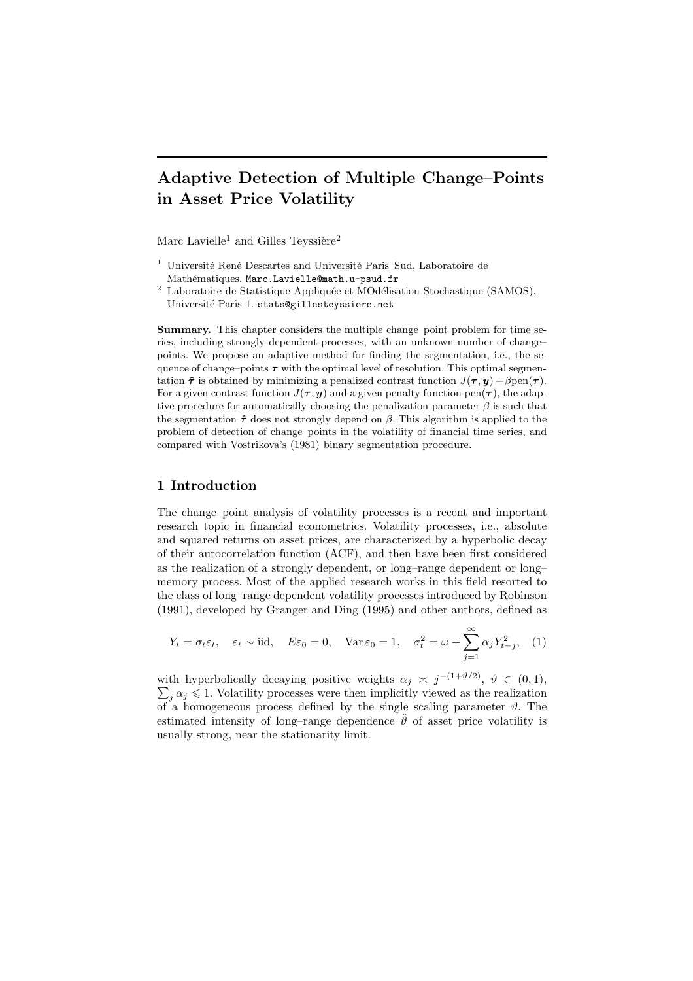# Adaptive Detection of Multiple Change–Points in Asset Price Volatility

Marc Lavielle<sup>1</sup> and Gilles Teyssière<sup>2</sup>

- <sup>1</sup> Université René Descartes and Université Paris–Sud, Laboratoire de Mathématiques. Marc.Lavielle@math.u-psud.fr
- <sup>2</sup> Laboratoire de Statistique Appliquée et MOdélisation Stochastique (SAMOS), Université Paris 1. stats@gillesteyssiere.net

Summary. This chapter considers the multiple change–point problem for time series, including strongly dependent processes, with an unknown number of change– points. We propose an adaptive method for finding the segmentation, i.e., the sequence of change–points  $\tau$  with the optimal level of resolution. This optimal segmentation  $\hat{\tau}$  is obtained by minimizing a penalized contrast function  $J(\tau, y) + \beta \text{pen}(\tau)$ . For a given contrast function  $J(\tau, y)$  and a given penalty function pen $(\tau)$ , the adaptive procedure for automatically choosing the penalization parameter  $\beta$  is such that the segmentation  $\hat{\tau}$  does not strongly depend on  $\beta$ . This algorithm is applied to the problem of detection of change–points in the volatility of financial time series, and compared with Vostrikova's (1981) binary segmentation procedure.

# 1 Introduction

The change–point analysis of volatility processes is a recent and important research topic in financial econometrics. Volatility processes, i.e., absolute and squared returns on asset prices, are characterized by a hyperbolic decay of their autocorrelation function (ACF), and then have been first considered as the realization of a strongly dependent, or long–range dependent or long– memory process. Most of the applied research works in this field resorted to the class of long–range dependent volatility processes introduced by Robinson (1991), developed by Granger and Ding (1995) and other authors, defined as

$$
Y_t = \sigma_t \varepsilon_t
$$
,  $\varepsilon_t \sim \text{iid}$ ,  $E\varepsilon_0 = 0$ ,  $\text{Var}\,\varepsilon_0 = 1$ ,  $\sigma_t^2 = \omega + \sum_{j=1}^{\infty} \alpha_j Y_{t-j}^2$ , (1)

with hyperbolically decaying positive weights  $\alpha_j \approx j^{-(1+\vartheta/2)}$ ,  $\vartheta \in (0,1)$ ,  $\sum_i \alpha_j \leq 1$ . Volatility processes were then implicitly viewed as the realization  $\sum_{i} \alpha_i \leq 1$ . Volatility processes were then implicitly viewed as the realization of a homogeneous process defined by the single scaling parameter  $\vartheta$ . The estimated intensity of long–range dependence  $\hat{\theta}$  of asset price volatility is usually strong, near the stationarity limit.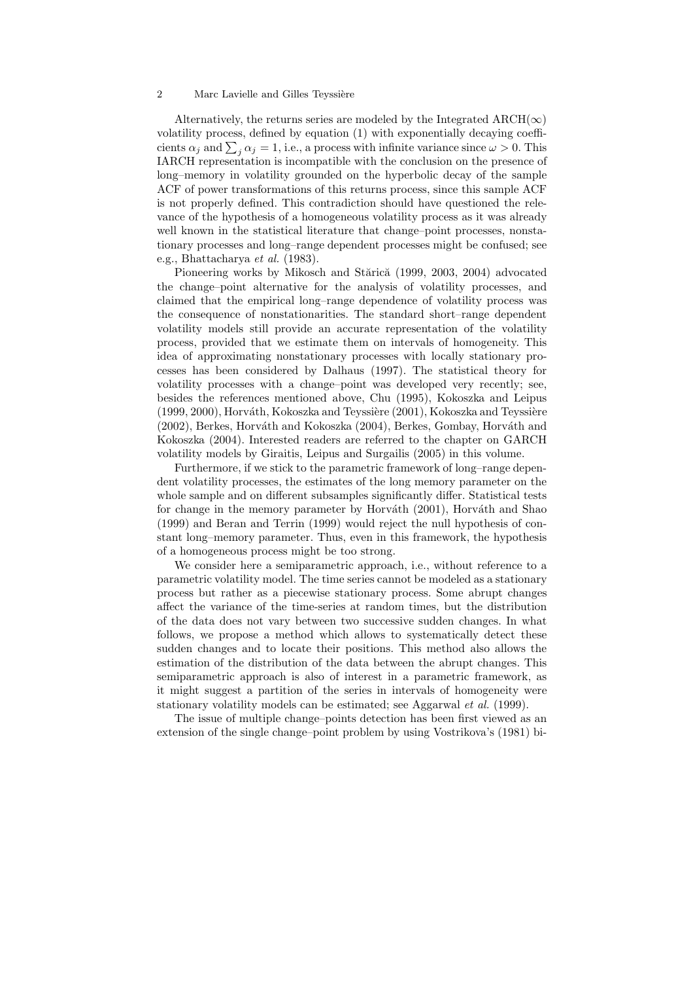Alternatively, the returns series are modeled by the Integrated  $\text{ARCH}(\infty)$ volatility process, defined by equation (1) with exponentially decaying coefficients  $\alpha_j$  and  $\sum_j \alpha_j = 1$ , i.e., a process with infinite variance since  $\omega > 0$ . This IARCH representation is incompatible with the conclusion on the presence of long–memory in volatility grounded on the hyperbolic decay of the sample ACF of power transformations of this returns process, since this sample ACF is not properly defined. This contradiction should have questioned the relevance of the hypothesis of a homogeneous volatility process as it was already well known in the statistical literature that change–point processes, nonstationary processes and long–range dependent processes might be confused; see e.g., Bhattacharya et al. (1983).

Pioneering works by Mikosch and Stărică (1999, 2003, 2004) advocated the change–point alternative for the analysis of volatility processes, and claimed that the empirical long–range dependence of volatility process was the consequence of nonstationarities. The standard short–range dependent volatility models still provide an accurate representation of the volatility process, provided that we estimate them on intervals of homogeneity. This idea of approximating nonstationary processes with locally stationary processes has been considered by Dalhaus (1997). The statistical theory for volatility processes with a change–point was developed very recently; see, besides the references mentioned above, Chu (1995), Kokoszka and Leipus  $(1999, 2000)$ , Horváth, Kokoszka and Teyssière  $(2001)$ , Kokoszka and Teyssière (2002), Berkes, Horváth and Kokoszka (2004), Berkes, Gombay, Horváth and Kokoszka (2004). Interested readers are referred to the chapter on GARCH volatility models by Giraitis, Leipus and Surgailis (2005) in this volume.

Furthermore, if we stick to the parametric framework of long–range dependent volatility processes, the estimates of the long memory parameter on the whole sample and on different subsamples significantly differ. Statistical tests for change in the memory parameter by Horváth  $(2001)$ , Horváth and Shao (1999) and Beran and Terrin (1999) would reject the null hypothesis of constant long–memory parameter. Thus, even in this framework, the hypothesis of a homogeneous process might be too strong.

We consider here a semiparametric approach, i.e., without reference to a parametric volatility model. The time series cannot be modeled as a stationary process but rather as a piecewise stationary process. Some abrupt changes affect the variance of the time-series at random times, but the distribution of the data does not vary between two successive sudden changes. In what follows, we propose a method which allows to systematically detect these sudden changes and to locate their positions. This method also allows the estimation of the distribution of the data between the abrupt changes. This semiparametric approach is also of interest in a parametric framework, as it might suggest a partition of the series in intervals of homogeneity were stationary volatility models can be estimated; see Aggarwal et al. (1999).

The issue of multiple change–points detection has been first viewed as an extension of the single change–point problem by using Vostrikova's (1981) bi-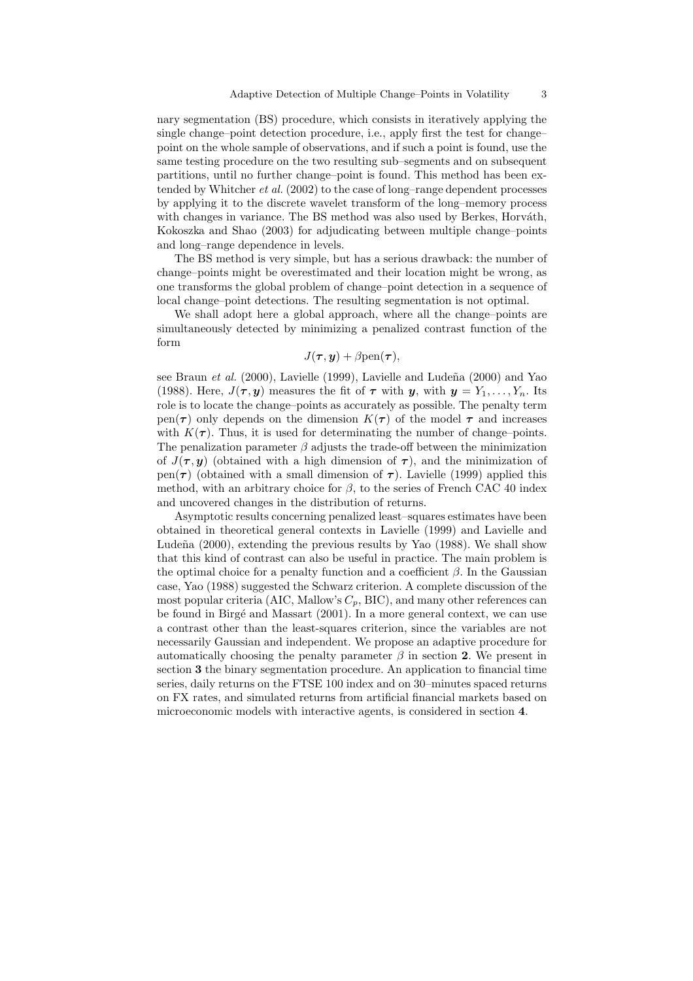nary segmentation (BS) procedure, which consists in iteratively applying the single change–point detection procedure, i.e., apply first the test for change– point on the whole sample of observations, and if such a point is found, use the same testing procedure on the two resulting sub–segments and on subsequent partitions, until no further change–point is found. This method has been extended by Whitcher et al. (2002) to the case of long–range dependent processes by applying it to the discrete wavelet transform of the long–memory process with changes in variance. The BS method was also used by Berkes, Horváth, Kokoszka and Shao (2003) for adjudicating between multiple change–points and long–range dependence in levels.

The BS method is very simple, but has a serious drawback: the number of change–points might be overestimated and their location might be wrong, as one transforms the global problem of change–point detection in a sequence of local change–point detections. The resulting segmentation is not optimal.

We shall adopt here a global approach, where all the change–points are simultaneously detected by minimizing a penalized contrast function of the form

# $J(\tau, y) + \beta \text{pen}(\tau),$

see Braun et al.  $(2000)$ , Lavielle  $(1999)$ , Lavielle and Ludeña  $(2000)$  and Yao (1988). Here,  $J(\tau, y)$  measures the fit of  $\tau$  with  $y$ , with  $y = Y_1, \ldots, Y_n$ . Its role is to locate the change–points as accurately as possible. The penalty term pen( $\tau$ ) only depends on the dimension  $K(\tau)$  of the model  $\tau$  and increases with  $K(\tau)$ . Thus, it is used for determinating the number of change–points. The penalization parameter  $\beta$  adjusts the trade-off between the minimization of  $J(\tau, \mathbf{y})$  (obtained with a high dimension of  $\tau$ ), and the minimization of pen( $\tau$ ) (obtained with a small dimension of  $\tau$ ). Lavielle (1999) applied this method, with an arbitrary choice for  $\beta$ , to the series of French CAC 40 index and uncovered changes in the distribution of returns.

Asymptotic results concerning penalized least–squares estimates have been obtained in theoretical general contexts in Lavielle (1999) and Lavielle and Lude $\tilde{a}$  (2000), extending the previous results by Yao (1988). We shall show that this kind of contrast can also be useful in practice. The main problem is the optimal choice for a penalty function and a coefficient  $\beta$ . In the Gaussian case, Yao (1988) suggested the Schwarz criterion. A complete discussion of the most popular criteria (AIC, Mallow's  $C_p$ , BIC), and many other references can be found in Birg´e and Massart (2001). In a more general context, we can use a contrast other than the least-squares criterion, since the variables are not necessarily Gaussian and independent. We propose an adaptive procedure for automatically choosing the penalty parameter  $\beta$  in section 2. We present in section 3 the binary segmentation procedure. An application to financial time series, daily returns on the FTSE 100 index and on 30–minutes spaced returns on FX rates, and simulated returns from artificial financial markets based on microeconomic models with interactive agents, is considered in section 4.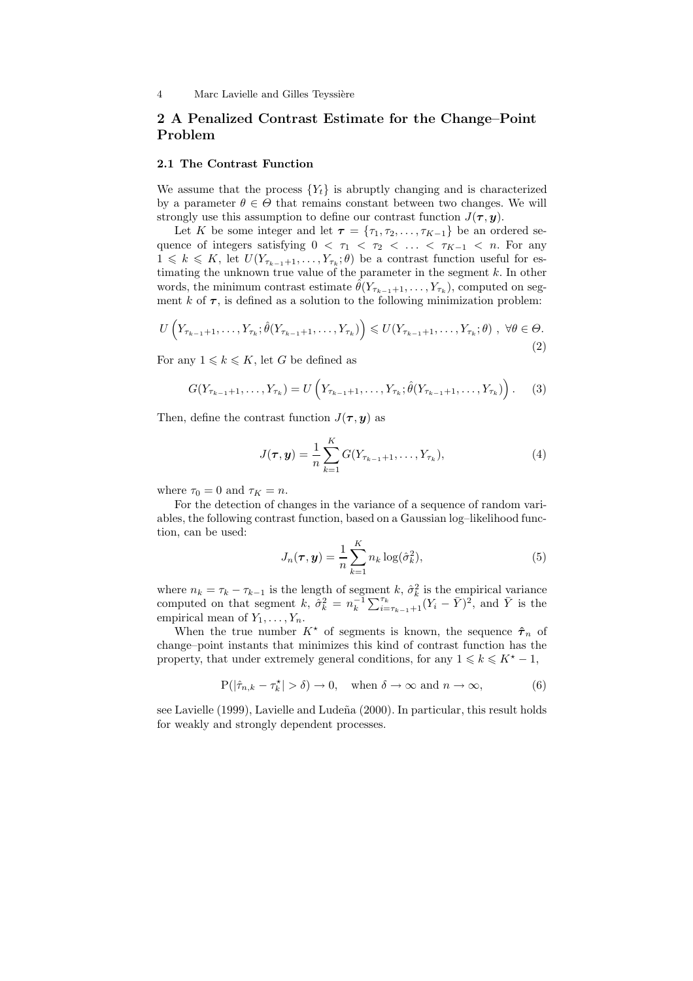# 2 A Penalized Contrast Estimate for the Change–Point Problem

## 2.1 The Contrast Function

We assume that the process  ${Y_t}$  is abruptly changing and is characterized by a parameter  $\theta \in \Theta$  that remains constant between two changes. We will strongly use this assumption to define our contrast function  $J(\tau, y)$ .

Let K be some integer and let  $\tau = \{\tau_1, \tau_2, \ldots, \tau_{K-1}\}\$  be an ordered sequence of integers satisfying  $0 < \tau_1 < \tau_2 < \ldots < \tau_{K-1} < n$ . For any  $1 \leq k \leq K$ , let  $U(Y_{\tau_{k-1}+1}, \ldots, Y_{\tau_k}; \theta)$  be a contrast function useful for estimating the unknown true value of the parameter in the segment  $k$ . In other words, the minimum contrast estimate  $\hat{\theta}(Y_{\tau_{k-1}+1}, \ldots, Y_{\tau_k}),$  computed on segment k of  $\tau$ , is defined as a solution to the following minimization problem:

$$
U\left(Y_{\tau_{k-1}+1},\ldots,Y_{\tau_k};\hat{\theta}(Y_{\tau_{k-1}+1},\ldots,Y_{\tau_k})\right)\leqslant U(Y_{\tau_{k-1}+1},\ldots,Y_{\tau_k};\theta),\ \forall\theta\in\Theta.
$$
\n
$$
(2)
$$

For any  $1 \leq k \leq K$ , let G be defined as

$$
G(Y_{\tau_{k-1}+1},\ldots,Y_{\tau_k}) = U\left(Y_{\tau_{k-1}+1},\ldots,Y_{\tau_k};\hat{\theta}(Y_{\tau_{k-1}+1},\ldots,Y_{\tau_k})\right).
$$
 (3)

Then, define the contrast function  $J(\tau, y)$  as

$$
J(\tau, y) = \frac{1}{n} \sum_{k=1}^{K} G(Y_{\tau_{k-1}+1}, \dots, Y_{\tau_k}),
$$
\n(4)

where  $\tau_0 = 0$  and  $\tau_K = n$ .

For the detection of changes in the variance of a sequence of random variables, the following contrast function, based on a Gaussian log–likelihood function, can be used:

$$
J_n(\boldsymbol{\tau}, \boldsymbol{y}) = \frac{1}{n} \sum_{k=1}^{K} n_k \log(\hat{\sigma}_k^2), \tag{5}
$$

where  $n_k = \tau_k - \tau_{k-1}$  is the length of segment k,  $\hat{\sigma}_k^2$  is the empirical variance computed on that segment k,  $\tilde{\sigma}_k^2 = n_k^{-1} \sum_{i=\tau_{k-1}+1}^{\tau_k} (Y_i - \bar{Y})^2$ , and  $\bar{Y}$  is the empirical mean of  $Y_1, \ldots, Y_n$ .

When the true number  $K^*$  of segments is known, the sequence  $\hat{\tau}_n$  of change–point instants that minimizes this kind of contrast function has the property, that under extremely general conditions, for any  $1 \leq k \leq K^* - 1$ ,

$$
\mathbf{P}(|\hat{\tau}_{n,k} - \tau_k^{\star}| > \delta) \to 0, \quad \text{when } \delta \to \infty \text{ and } n \to \infty,
$$
 (6)

see Lavielle (1999), Lavielle and Ludeña (2000). In particular, this result holds for weakly and strongly dependent processes.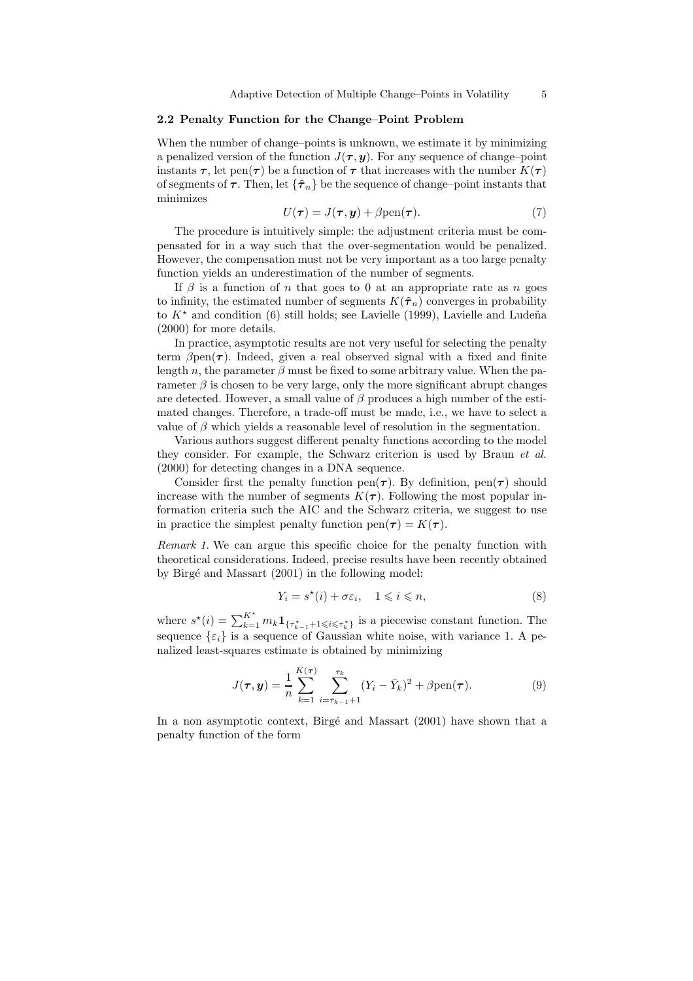### 2.2 Penalty Function for the Change–Point Problem

When the number of change–points is unknown, we estimate it by minimizing a penalized version of the function  $J(\tau, y)$ . For any sequence of change–point instants  $\tau$ , let pen( $\tau$ ) be a function of  $\tau$  that increases with the number  $K(\tau)$ of segments of  $\tau$ . Then, let  $\{\hat{\tau}_n\}$  be the sequence of change–point instants that minimizes

$$
U(\tau) = J(\tau, y) + \beta \text{pen}(\tau). \tag{7}
$$

The procedure is intuitively simple: the adjustment criteria must be compensated for in a way such that the over-segmentation would be penalized. However, the compensation must not be very important as a too large penalty function yields an underestimation of the number of segments.

If  $\beta$  is a function of n that goes to 0 at an appropriate rate as n goes to infinity, the estimated number of segments  $K(\hat{\tau}_n)$  converges in probability to  $K^*$  and condition (6) still holds; see Lavielle (1999), Lavielle and Ludeña (2000) for more details.

In practice, asymptotic results are not very useful for selecting the penalty term  $\beta$ pen( $\tau$ ). Indeed, given a real observed signal with a fixed and finite length n, the parameter  $\beta$  must be fixed to some arbitrary value. When the parameter  $\beta$  is chosen to be very large, only the more significant abrupt changes are detected. However, a small value of  $\beta$  produces a high number of the estimated changes. Therefore, a trade-off must be made, i.e., we have to select a value of  $\beta$  which yields a reasonable level of resolution in the segmentation.

Various authors suggest different penalty functions according to the model they consider. For example, the Schwarz criterion is used by Braun et al. (2000) for detecting changes in a DNA sequence.

Consider first the penalty function pen( $\tau$ ). By definition, pen( $\tau$ ) should increase with the number of segments  $K(\tau)$ . Following the most popular information criteria such the AIC and the Schwarz criteria, we suggest to use in practice the simplest penalty function  $pen(\tau) = K(\tau)$ .

Remark 1. We can argue this specific choice for the penalty function with theoretical considerations. Indeed, precise results have been recently obtained by Birgé and Massart (2001) in the following model:

$$
Y_i = s^\star(i) + \sigma \varepsilon_i, \quad 1 \leqslant i \leqslant n,
$$
\n<sup>(8)</sup>

where  $s^*(i) = \sum_{k=1}^{K^*} m_k \mathbf{1}_{\{\tau_{k-1}^*\} \in \{\tau_k^*\}}$  is a piecewise constant function. The sequence  $\{\varepsilon_i\}$  is a sequence of Gaussian white noise, with variance 1. A penalized least-squares estimate is obtained by minimizing

$$
J(\tau, y) = \frac{1}{n} \sum_{k=1}^{K(\tau)} \sum_{i=\tau_{k-1}+1}^{\tau_k} (Y_i - \bar{Y}_k)^2 + \beta \text{pen}(\tau).
$$
 (9)

In a non asymptotic context, Birgé and Massart (2001) have shown that a penalty function of the form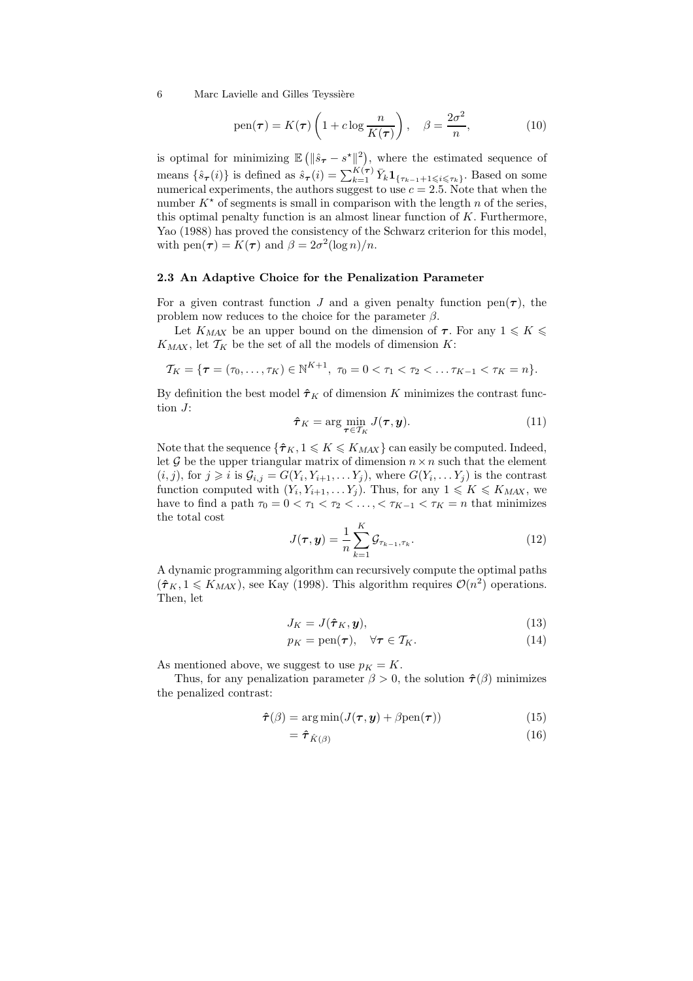pen
$$
(\tau) = K(\tau) \left( 1 + c \log \frac{n}{K(\tau)} \right), \quad \beta = \frac{2\sigma^2}{n},
$$
 (10)

is optimal for minimizing  $\mathbb{E} \left( \|\hat{s}_{\tau} - s^{\star}\|_{\infty}^2 \right)$ , where the estimated sequence of means  $\{\hat{s}_{\tau}(i)\}\)$  is defined as  $\hat{s}_{\tau}(i) = \sum_{k=1}^{K(\tau)} \bar{Y}_k \mathbf{1}_{\{\tau_{k-1}+1 \leqslant i \leqslant \tau_k\}}$ . Based on some numerical experiments, the authors suggest to use  $c = 2.5$ . Note that when the number  $K^*$  of segments is small in comparison with the length n of the series, this optimal penalty function is an almost linear function of  $K$ . Furthermore, Yao (1988) has proved the consistency of the Schwarz criterion for this model, with  $pen(\tau) = K(\tau)$  and  $\beta = 2\sigma^2(\log n)/n$ .

#### 2.3 An Adaptive Choice for the Penalization Parameter

For a given contrast function J and a given penalty function pen $(\tau)$ , the problem now reduces to the choice for the parameter  $\beta$ .

Let  $K_{MAX}$  be an upper bound on the dimension of  $\tau$ . For any  $1 \leqslant K \leqslant$  $K_{MAX}$ , let  $\mathcal{T}_{K}$  be the set of all the models of dimension K:

$$
\mathcal{T}_K = \{ \tau = (\tau_0, \ldots, \tau_K) \in \mathbb{N}^{K+1}, \ \tau_0 = 0 < \tau_1 < \tau_2 < \ldots \tau_{K-1} < \tau_K = n \}.
$$

By definition the best model  $\hat{\tau}_K$  of dimension K minimizes the contrast function J:

$$
\hat{\boldsymbol{\tau}}_K = \arg\min_{\boldsymbol{\tau} \in \mathcal{T}_K} J(\boldsymbol{\tau}, \boldsymbol{y}). \tag{11}
$$

Note that the sequence  $\{\hat{\tau}_K, 1 \leqslant K \leqslant K_{MAX}\}$  can easily be computed. Indeed, let G be the upper triangular matrix of dimension  $n \times n$  such that the element  $(i, j)$ , for  $j \geq i$  is  $\mathcal{G}_{i,j} = G(Y_i, Y_{i+1}, \ldots, Y_j)$ , where  $G(Y_i, \ldots, Y_j)$  is the contrast function computed with  $(Y_i, Y_{i+1}, \ldots, Y_j)$ . Thus, for any  $1 \leq K \leq K_{MAX}$ , we have to find a path  $\tau_0 = 0 < \tau_1 < \tau_2 < \ldots < \tau_{K-1} < \tau_K = n$  that minimizes the total cost

$$
J(\boldsymbol{\tau}, \boldsymbol{y}) = \frac{1}{n} \sum_{k=1}^{K} \mathcal{G}_{\tau_{k-1}, \tau_k}.
$$
 (12)

A dynamic programming algorithm can recursively compute the optimal paths  $(\hat{\tau}_K, 1 \leq K_{MAX})$ , see Kay (1998). This algorithm requires  $\mathcal{O}(n^2)$  operations. Then, let

$$
J_K = J(\hat{\boldsymbol{\tau}}_K, \boldsymbol{y}),\tag{13}
$$

$$
p_K = \text{pen}(\tau), \quad \forall \tau \in \mathcal{T}_K. \tag{14}
$$

As mentioned above, we suggest to use  $p<sub>K</sub> = K$ .

Thus, for any penalization parameter  $\beta > 0$ , the solution  $\hat{\tau}(\beta)$  minimizes the penalized contrast:

$$
\hat{\boldsymbol{\tau}}(\beta) = \arg \min (J(\boldsymbol{\tau}, \boldsymbol{y}) + \beta \text{pen}(\boldsymbol{\tau})) \tag{15}
$$

$$
=\hat{\boldsymbol{\tau}}_{\hat{K}(\beta)}\tag{16}
$$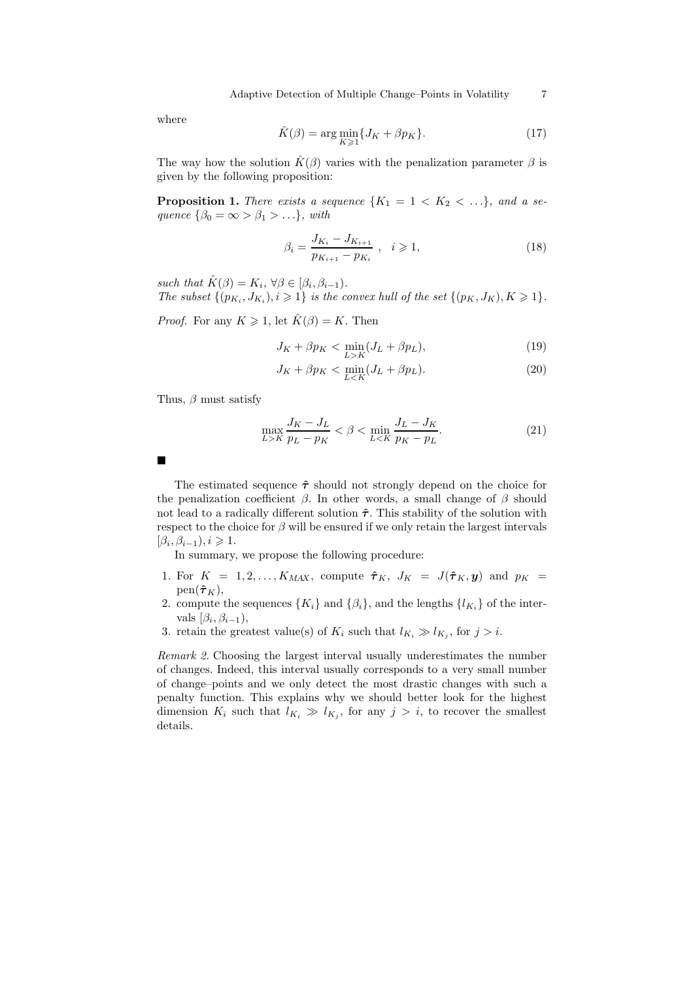Adaptive Detection of Multiple Change–Points in Volatility 7

where

$$
\hat{K}(\beta) = \arg\min_{K \ge 1} \{ J_K + \beta p_K \}.
$$
\n(17)

The way how the solution  $\hat{K}(\beta)$  varies with the penalization parameter  $\beta$  is given by the following proposition:

**Proposition 1.** There exists a sequence  $\{K_1 = 1 \lt K_2 \lt \ldots\}$ , and a sequence  $\{\beta_0 = \infty > \beta_1 > ... \}$ , with

$$
\beta_i = \frac{J_{K_i} - J_{K_{i+1}}}{p_{K_{i+1}} - p_{K_i}}, \quad i \geqslant 1,
$$
\n(18)

such that  $\hat{K}(\beta) = K_i$ ,  $\forall \beta \in [\beta_i, \beta_{i-1})$ . The subset  $\{(p_{K_i}, J_{K_i}), i \geq 1\}$  is the convex hull of the set  $\{(p_K, J_K), K \geq 1\}$ .

*Proof.* For any  $K \geq 1$ , let  $\hat{K}(\beta) = K$ . Then

$$
J_K + \beta p_K < \min_{L > K} (J_L + \beta p_L),\tag{19}
$$

$$
J_K + \beta p_K < \min_{L < K} (J_L + \beta p_L). \tag{20}
$$

Thus,  $\beta$  must satisfy

$$
\max_{L>K} \frac{J_K - J_L}{p_L - p_K} < \beta < \min_{L < K} \frac{J_L - J_K}{p_K - p_L}.\tag{21}
$$

 $\blacksquare$ 

The estimated sequence  $\hat{\tau}$  should not strongly depend on the choice for the penalization coefficient  $\beta$ . In other words, a small change of  $\beta$  should not lead to a radically different solution  $\hat{\tau}$ . This stability of the solution with respect to the choice for  $\beta$  will be ensured if we only retain the largest intervals  $[\beta_i, \beta_{i-1}), i \geq 1.$ 

In summary, we propose the following procedure:

- 1. For  $K = 1, 2, ..., K_{MAX}$ , compute  $\hat{\tau}_K$ ,  $J_K = J(\hat{\tau}_K, y)$  and  $p_K =$  $pen(\hat{\boldsymbol{\tau}}_K),$
- 2. compute the sequences  $\{K_i\}$  and  $\{\beta_i\}$ , and the lengths  $\{l_{K_i}\}$  of the intervals  $[\beta_i, \beta_{i-1}),$
- 3. retain the greatest value(s) of  $K_i$  such that  $l_{K_i} \gg l_{K_j}$ , for  $j > i$ .

Remark 2. Choosing the largest interval usually underestimates the number of changes. Indeed, this interval usually corresponds to a very small number of change–points and we only detect the most drastic changes with such a penalty function. This explains why we should better look for the highest dimension  $K_i$  such that  $l_{K_i} \gg l_{K_j}$ , for any  $j > i$ , to recover the smallest details.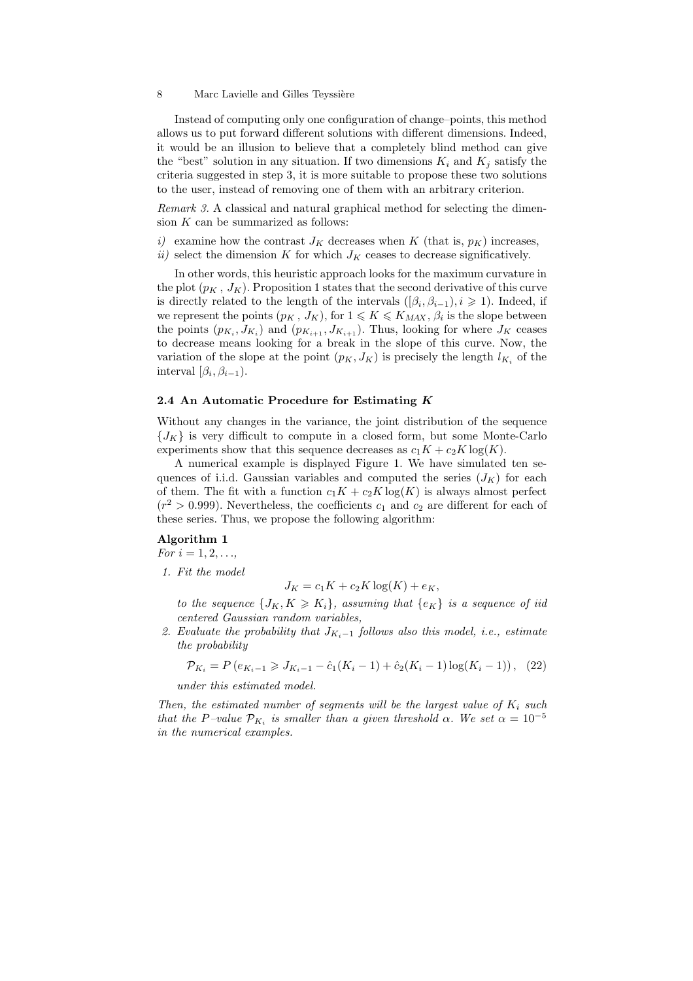Instead of computing only one configuration of change–points, this method allows us to put forward different solutions with different dimensions. Indeed, it would be an illusion to believe that a completely blind method can give the "best" solution in any situation. If two dimensions  $K_i$  and  $K_j$  satisfy the criteria suggested in step 3, it is more suitable to propose these two solutions to the user, instead of removing one of them with an arbitrary criterion.

Remark 3. A classical and natural graphical method for selecting the dimension  $K$  can be summarized as follows:

- i) examine how the contrast  $J_K$  decreases when K (that is,  $p_K$ ) increases,
- ii) select the dimension K for which  $J_K$  ceases to decrease significatively.

In other words, this heuristic approach looks for the maximum curvature in the plot  $(p_K, J_K)$ . Proposition 1 states that the second derivative of this curve is directly related to the length of the intervals  $([\beta_i, \beta_{i-1}), i \geq 1)$ . Indeed, if we represent the points  $(p_K, J_K)$ , for  $1 \leqslant K \leqslant K_{MAX}, \beta_i$  is the slope between the points  $(p_{K_i}, J_{K_i})$  and  $(p_{K_{i+1}}, J_{K_{i+1}})$ . Thus, looking for where  $J_K$  ceases to decrease means looking for a break in the slope of this curve. Now, the variation of the slope at the point  $(p_K, J_K)$  is precisely the length  $l_{K_i}$  of the interval  $[\beta_i, \beta_{i-1}).$ 

# 2.4 An Automatic Procedure for Estimating  $K$

Without any changes in the variance, the joint distribution of the sequence  ${J_K}$  is very difficult to compute in a closed form, but some Monte-Carlo experiments show that this sequence decreases as  $c_1K + c_2K \log(K)$ .

A numerical example is displayed Figure 1. We have simulated ten sequences of i.i.d. Gaussian variables and computed the series  $(J_K)$  for each of them. The fit with a function  $c_1K + c_2K \log(K)$  is always almost perfect  $(r^2 > 0.999)$ . Nevertheless, the coefficients  $c_1$  and  $c_2$  are different for each of these series. Thus, we propose the following algorithm:

### Algorithm 1

For  $i = 1, 2, ...,$ 

1. Fit the model

 $J_K = c_1 K + c_2 K \log(K) + e_K$ 

to the sequence  $\{J_K, K \geqslant K_i\}$ , assuming that  $\{e_K\}$  is a sequence of iid centered Gaussian random variables,

2. Evaluate the probability that  $J_{K_i-1}$  follows also this model, i.e., estimate the probability

$$
\mathcal{P}_{K_i} = P\left(e_{K_i-1} \geqslant J_{K_i-1} - \hat{c}_1(K_i-1) + \hat{c}_2(K_i-1)\log(K_i-1)\right), \tag{22}
$$

under this estimated model.

Then, the estimated number of segments will be the largest value of  $K_i$  such that the P-value  $\mathcal{P}_{K_i}$  is smaller than a given threshold  $\alpha$ . We set  $\alpha = 10^{-5}$ in the numerical examples.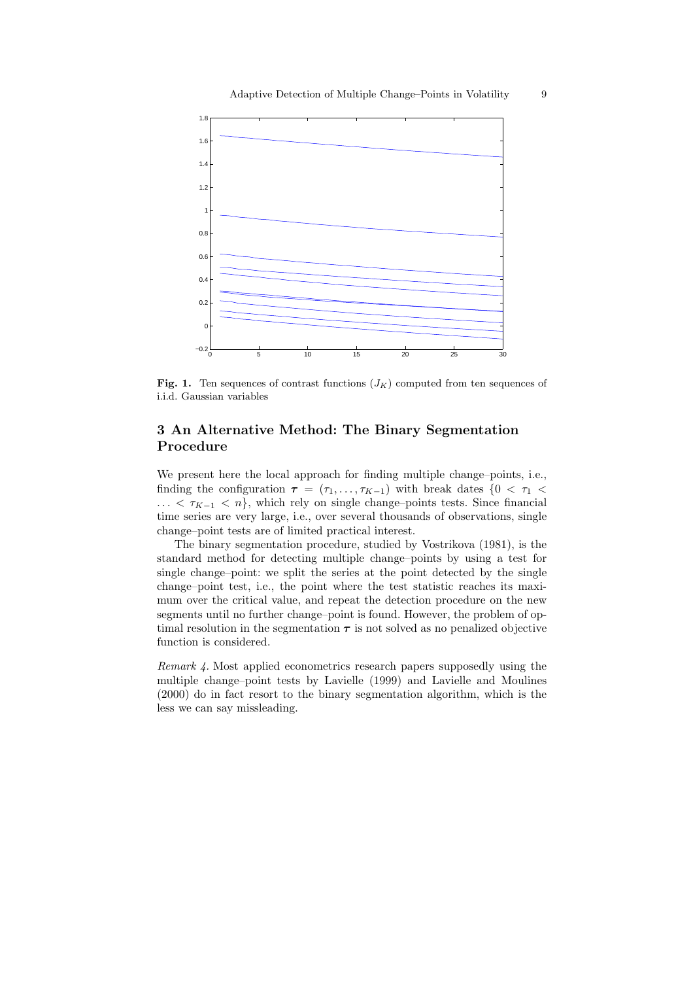

Fig. 1. Ten sequences of contrast functions  $(J_K)$  computed from ten sequences of i.i.d. Gaussian variables

# 3 An Alternative Method: The Binary Segmentation Procedure

We present here the local approach for finding multiple change–points, i.e., finding the configuration  $\tau = (\tau_1, \ldots, \tau_{K-1})$  with break dates  $\{0 \leq \tau_1 \leq$  $\ldots < \tau_{K-1} < n$ , which rely on single change–points tests. Since financial time series are very large, i.e., over several thousands of observations, single change–point tests are of limited practical interest.

The binary segmentation procedure, studied by Vostrikova (1981), is the standard method for detecting multiple change–points by using a test for single change–point: we split the series at the point detected by the single change–point test, i.e., the point where the test statistic reaches its maximum over the critical value, and repeat the detection procedure on the new segments until no further change–point is found. However, the problem of optimal resolution in the segmentation  $\tau$  is not solved as no penalized objective function is considered.

Remark 4. Most applied econometrics research papers supposedly using the multiple change–point tests by Lavielle (1999) and Lavielle and Moulines (2000) do in fact resort to the binary segmentation algorithm, which is the less we can say missleading.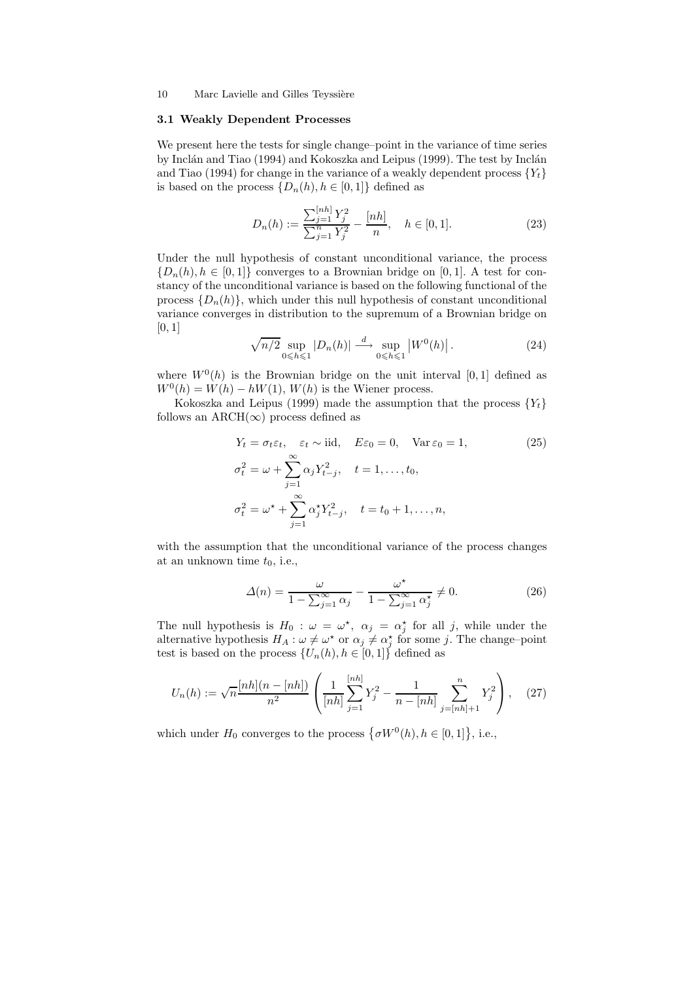# 3.1 Weakly Dependent Processes

We present here the tests for single change–point in the variance of time series by Inclán and Tiao (1994) and Kokoszka and Leipus (1999). The test by Inclán and Tiao (1994) for change in the variance of a weakly dependent process  ${Y_t}$ is based on the process  $\{D_n(h), h \in [0,1]\}\$  defined as

$$
D_n(h) := \frac{\sum_{j=1}^{[nh]} Y_j^2}{\sum_{j=1}^n Y_j^2} - \frac{[nh]}{n}, \quad h \in [0, 1].
$$
 (23)

Under the null hypothesis of constant unconditional variance, the process  ${D_n(h), h \in [0,1]}$  converges to a Brownian bridge on [0, 1]. A test for constancy of the unconditional variance is based on the following functional of the process  $\{D_n(h)\}\$ , which under this null hypothesis of constant unconditional variance converges in distribution to the supremum of a Brownian bridge on [0, 1]

$$
\sqrt{n/2} \sup_{0 \le h \le 1} |D_n(h)| \stackrel{d}{\longrightarrow} \sup_{0 \le h \le 1} |W^0(h)|. \tag{24}
$$

where  $W^0(h)$  is the Brownian bridge on the unit interval [0, 1] defined as  $W^0(h) = W(h) - hW(1), W(h)$  is the Wiener process.

Kokoszka and Leipus (1999) made the assumption that the process  ${Y_t}$ follows an ARCH( $\infty$ ) process defined as

$$
Y_t = \sigma_t \varepsilon_t, \quad \varepsilon_t \sim \text{iid}, \quad E\varepsilon_0 = 0, \quad \text{Var}\,\varepsilon_0 = 1,
$$
  
\n
$$
\sigma_t^2 = \omega + \sum_{j=1}^{\infty} \alpha_j Y_{t-j}^2, \quad t = 1, \dots, t_0,
$$
  
\n
$$
\sigma_t^2 = \omega^* + \sum_{j=1}^{\infty} \alpha_j^* Y_{t-j}^2, \quad t = t_0 + 1, \dots, n,
$$
  
\n(25)

with the assumption that the unconditional variance of the process changes at an unknown time  $t_0$ , i.e.,

$$
\Delta(n) = \frac{\omega}{1 - \sum_{j=1}^{\infty} \alpha_j} - \frac{\omega^*}{1 - \sum_{j=1}^{\infty} \alpha_j^*} \neq 0.
$$
 (26)

The null hypothesis is  $H_0$ :  $\omega = \omega^*$ ,  $\alpha_j = \alpha_j^*$  for all j, while under the alternative hypothesis  $H_A: \omega \neq \omega^*$  or  $\alpha_j \neq \alpha_j^*$  for some j. The change-point test is based on the process  $\{U_n(h), h \in [0,1]\}\$  defined as

$$
U_n(h) := \sqrt{n} \frac{[nh](n - [nh])}{n^2} \left( \frac{1}{[nh]} \sum_{j=1}^{[nh]} Y_j^2 - \frac{1}{n - [nh]} \sum_{j=[nh]+1}^n Y_j^2 \right), \quad (27)
$$

which under  $H_0$  converges to the process  $\{\sigma W^0(h), h \in [0, 1]\},$  i.e.,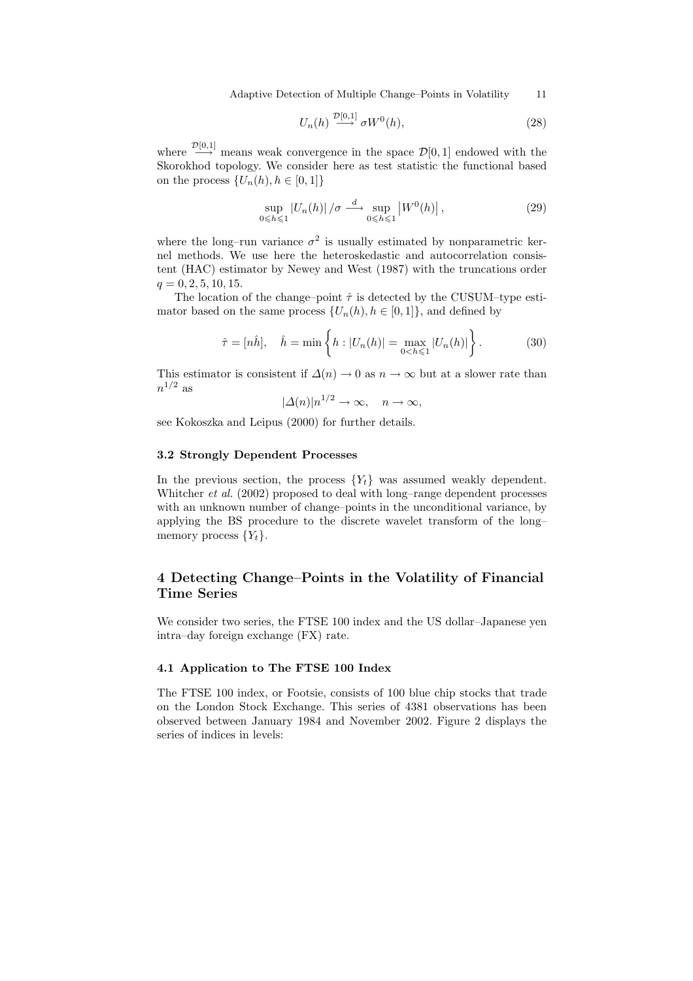Adaptive Detection of Multiple Change–Points in Volatility 11

$$
U_n(h) \stackrel{D[0,1]}{\longrightarrow} \sigma W^0(h),\tag{28}
$$

where  $\frac{\mathcal{D}[0,1]}{\longrightarrow}$  means weak convergence in the space  $\mathcal{D}[0,1]$  endowed with the Skorokhod topology. We consider here as test statistic the functional based on the process  $\{U_n(h), h \in [0,1]\}$ 

 $\sum_{i=1}^{n}$ 

$$
\sup_{0 \le h \le 1} |U_n(h)| / \sigma \xrightarrow{d} \sup_{0 \le h \le 1} |W^0(h)|,
$$
\n(29)

where the long–run variance  $\sigma^2$  is usually estimated by nonparametric kernel methods. We use here the heteroskedastic and autocorrelation consistent (HAC) estimator by Newey and West (1987) with the truncations order  $q = 0, 2, 5, 10, 15.$ 

The location of the change–point  $\hat{\tau}$  is detected by the CUSUM–type estimator based on the same process  $\{U_n(h), h \in [0,1]\}$ , and defined by

$$
\hat{\tau} = [n\hat{h}], \quad \hat{h} = \min\left\{ h : |U_n(h)| = \max_{0 < h \leq 1} |U_n(h)| \right\}.
$$
\n(30)

This estimator is consistent if  $\Delta(n) \to 0$  as  $n \to \infty$  but at a slower rate than  $n^{1/2}$  as

 $|\Delta(n)|n^{1/2} \to \infty$ ,  $n \to \infty$ ,

see Kokoszka and Leipus (2000) for further details.

# 3.2 Strongly Dependent Processes

In the previous section, the process  ${Y_t}$  was assumed weakly dependent. Whitcher *et al.* (2002) proposed to deal with long–range dependent processes with an unknown number of change–points in the unconditional variance, by applying the BS procedure to the discrete wavelet transform of the long– memory process  $\{Y_t\}.$ 

# 4 Detecting Change–Points in the Volatility of Financial Time Series

We consider two series, the FTSE 100 index and the US dollar–Japanese yen intra–day foreign exchange (FX) rate.

# 4.1 Application to The FTSE 100 Index

The FTSE 100 index, or Footsie, consists of 100 blue chip stocks that trade on the London Stock Exchange. This series of 4381 observations has been observed between January 1984 and November 2002. Figure 2 displays the series of indices in levels: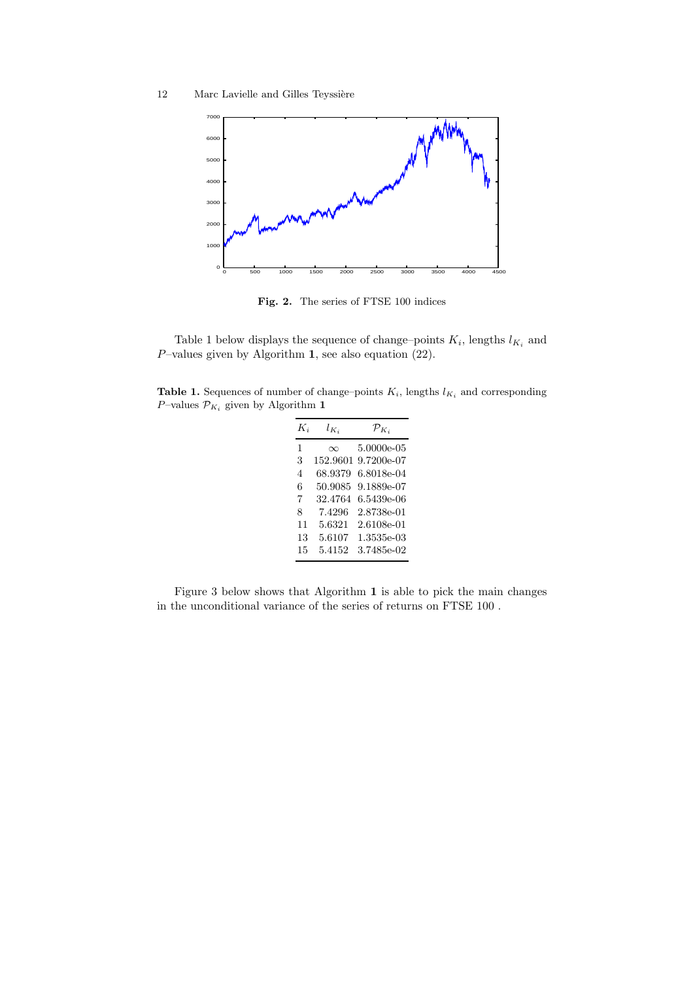

Fig. 2. The series of FTSE 100 indices

Table 1 below displays the sequence of change-points  $K_i$ , lengths  $l_{K_i}$  and  $P$ -values given by Algorithm 1, see also equation (22).

Table 1. Sequences of number of change–points  $K_i$ , lengths  $l_{K_i}$  and corresponding  $P\text{–values }\mathcal{P}_{K_i}$  given by Algorithm  $\mathbf 1$ 

| $K_i$                    | $l_{K_i}$ | $\mathcal{P}_{K_i}$ |
|--------------------------|-----------|---------------------|
| 1                        | $\infty$  | 5.0000e-05          |
| 3                        | 152.9601  | 9.7200e-07          |
| $\overline{\mathcal{A}}$ | 68.9379   | 6.8018e-04          |
| 6                        | 50.9085   | 9.1889e-07          |
| 7                        | 32.4764   | 6.5439e-06          |
| 8                        | 7.4296    | 2.8738e-01          |
| 11                       | 5.6321    | 2.6108e-01          |
| 13                       | 5.6107    | 1.3535e-03          |
| 15                       | 5.4152    | 3.7485e-02          |

Figure 3 below shows that Algorithm 1 is able to pick the main changes in the unconditional variance of the series of returns on FTSE 100 .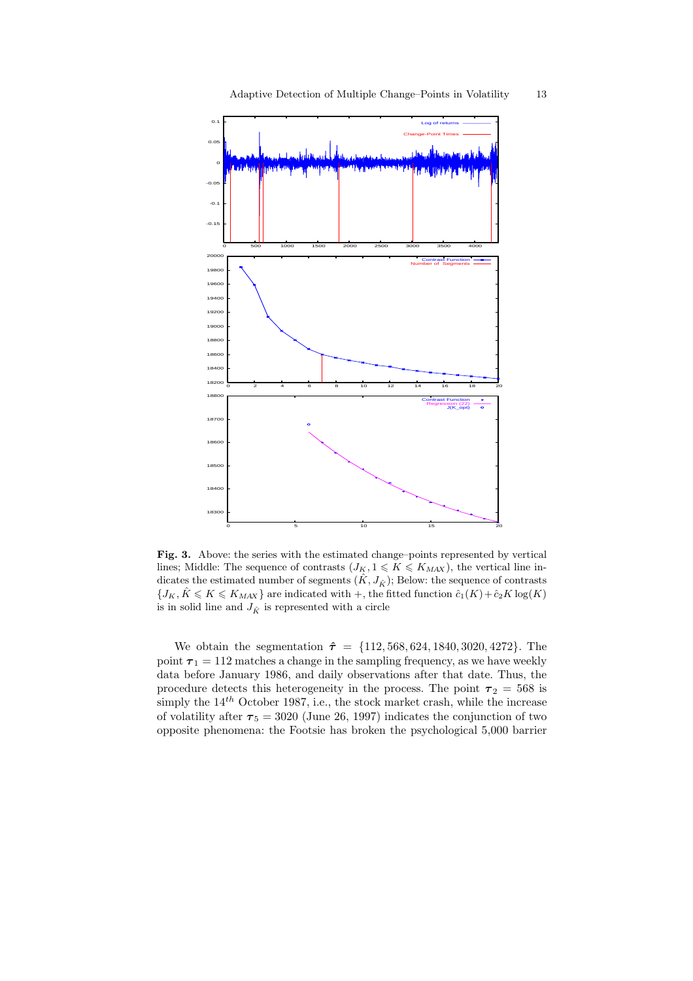

Fig. 3. Above: the series with the estimated change–points represented by vertical lines; Middle: The sequence of contrasts  $(J_K, 1 \leq K \leq K_{MAX})$ , the vertical line indicates the estimated number of segments  $(\hat{K}, J_{\hat{K}})$ ; Below: the sequence of contrasts  ${J_K, \hat{K} \leq K \leq K_{MAX}}$  are indicated with +, the fitted function  $\hat{c}_1(K) + \hat{c}_2(K)$  log(K) is in solid line and  $J_{\hat{K}}$  is represented with a circle

 $\overline{0}$  5 10 15 20

We obtain the segmentation  $\hat{\tau} = \{112, 568, 624, 1840, 3020, 4272\}$ . The point  $\tau_1 = 112$  matches a change in the sampling frequency, as we have weekly data before January 1986, and daily observations after that date. Thus, the procedure detects this heterogeneity in the process. The point  $\tau_2 = 568$  is simply the  $14^{th}$  October 1987, i.e., the stock market crash, while the increase of volatility after  $\tau_5 = 3020$  (June 26, 1997) indicates the conjunction of two opposite phenomena: the Footsie has broken the psychological 5,000 barrier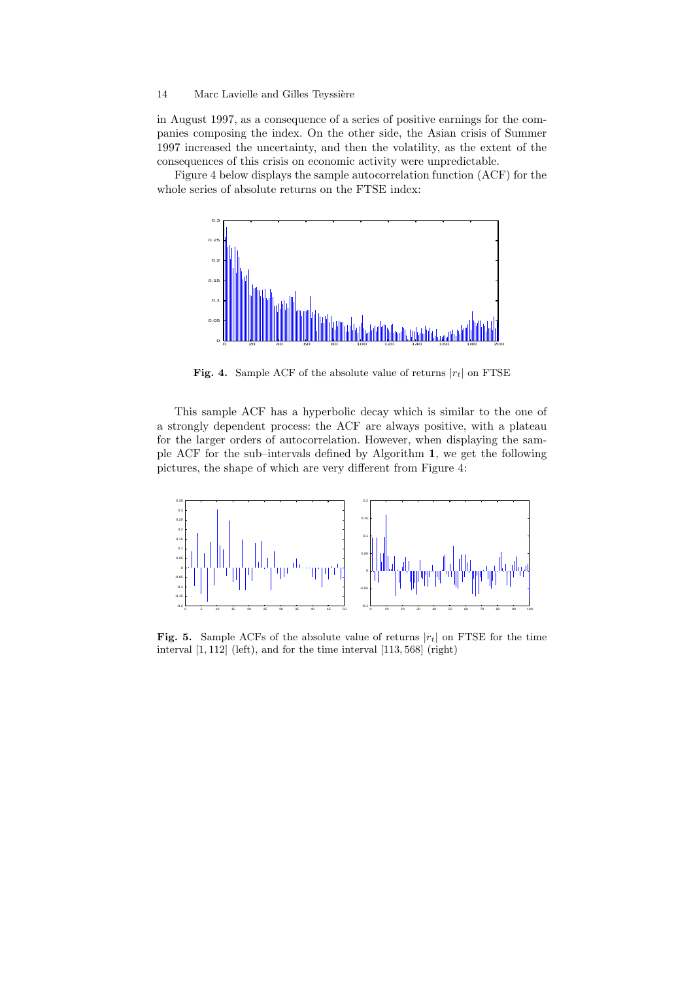in August 1997, as a consequence of a series of positive earnings for the companies composing the index. On the other side, the Asian crisis of Summer 1997 increased the uncertainty, and then the volatility, as the extent of the consequences of this crisis on economic activity were unpredictable.

Figure 4 below displays the sample autocorrelation function (ACF) for the whole series of absolute returns on the FTSE index:



Fig. 4. Sample ACF of the absolute value of returns  $|r_t|$  on FTSE

This sample ACF has a hyperbolic decay which is similar to the one of a strongly dependent process: the ACF are always positive, with a plateau for the larger orders of autocorrelation. However, when displaying the sample ACF for the sub–intervals defined by Algorithm 1, we get the following pictures, the shape of which are very different from Figure 4:



Fig. 5. Sample ACFs of the absolute value of returns  $|r_t|$  on FTSE for the time interval [1, 112] (left), and for the time interval [113, 568] (right)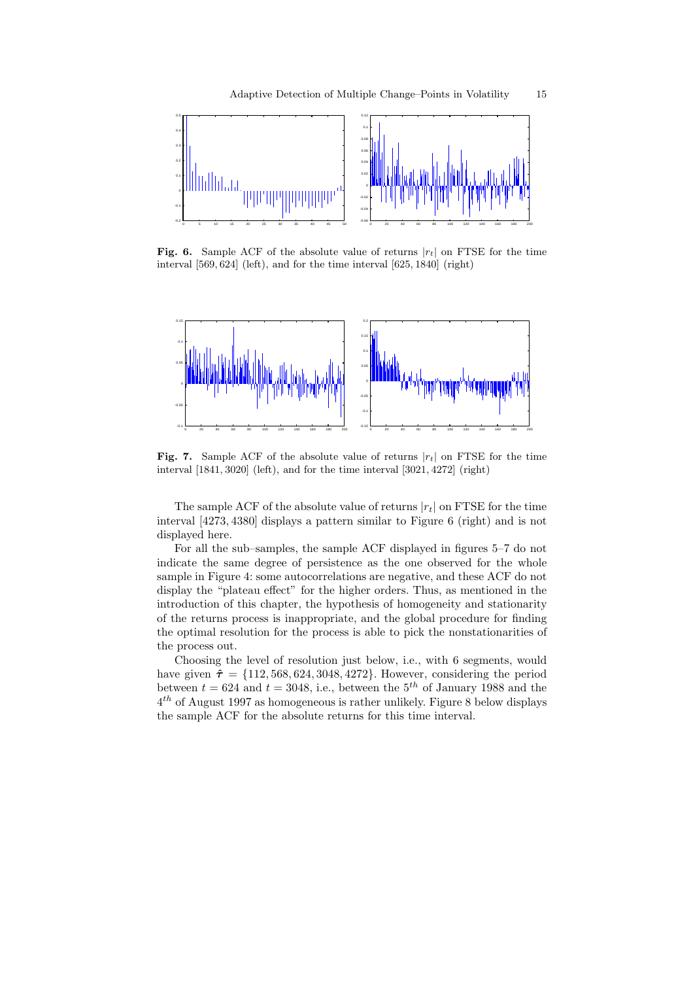

**Fig. 6.** Sample ACF of the absolute value of returns  $|r_t|$  on FTSE for the time interval [569, 624] (left), and for the time interval [625, 1840] (right)



**Fig. 7.** Sample ACF of the absolute value of returns  $|r_t|$  on FTSE for the time interval [1841, 3020] (left), and for the time interval [3021, 4272] (right)

The sample ACF of the absolute value of returns  $|r_t|$  on FTSE for the time interval [4273, 4380] displays a pattern similar to Figure 6 (right) and is not displayed here.

For all the sub–samples, the sample ACF displayed in figures 5–7 do not indicate the same degree of persistence as the one observed for the whole sample in Figure 4: some autocorrelations are negative, and these ACF do not display the "plateau effect" for the higher orders. Thus, as mentioned in the introduction of this chapter, the hypothesis of homogeneity and stationarity of the returns process is inappropriate, and the global procedure for finding the optimal resolution for the process is able to pick the nonstationarities of the process out.

Choosing the level of resolution just below, i.e., with 6 segments, would have given  $\hat{\tau} = \{112, 568, 624, 3048, 4272\}$ . However, considering the period between  $t = 624$  and  $t = 3048$ , i.e., between the  $5<sup>th</sup>$  of January 1988 and the  $4^{th}$  of August 1997 as homogeneous is rather unlikely. Figure 8 below displays the sample ACF for the absolute returns for this time interval.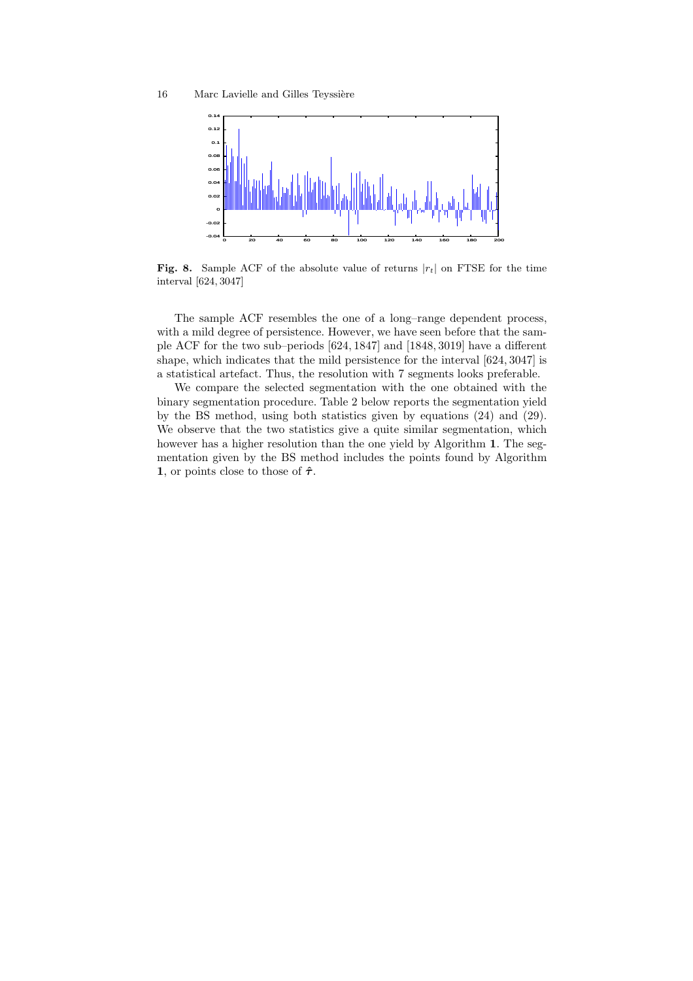

Fig. 8. Sample ACF of the absolute value of returns  $|r_t|$  on FTSE for the time interval [624, 3047]

The sample ACF resembles the one of a long–range dependent process, with a mild degree of persistence. However, we have seen before that the sample ACF for the two sub–periods [624, 1847] and [1848, 3019] have a different shape, which indicates that the mild persistence for the interval [624, 3047] is a statistical artefact. Thus, the resolution with 7 segments looks preferable.

We compare the selected segmentation with the one obtained with the binary segmentation procedure. Table 2 below reports the segmentation yield by the BS method, using both statistics given by equations (24) and (29). We observe that the two statistics give a quite similar segmentation, which however has a higher resolution than the one yield by Algorithm 1. The segmentation given by the BS method includes the points found by Algorithm 1, or points close to those of  $\hat{\tau}$ .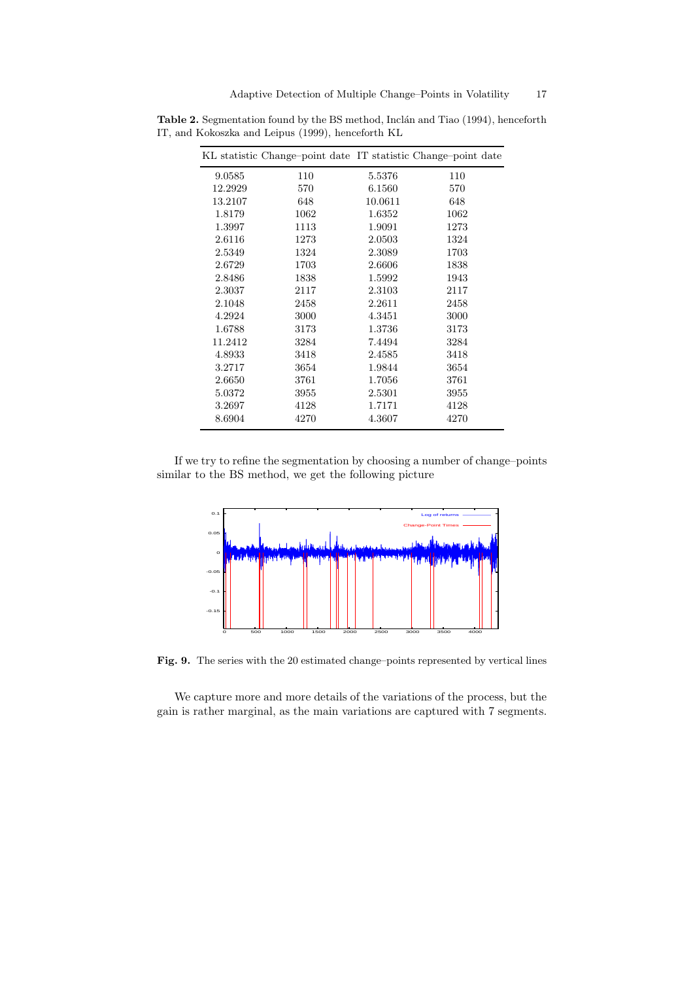|         | KL statistic Change-point date IT statistic Change-point date |         |      |
|---------|---------------------------------------------------------------|---------|------|
| 9.0585  | 110                                                           | 5.5376  | 110  |
| 12.2929 | 570                                                           | 6.1560  | 570  |
| 13.2107 | 648                                                           | 10.0611 | 648  |
| 1.8179  | 1062                                                          | 1.6352  | 1062 |
| 1.3997  | 1113                                                          | 1.9091  | 1273 |
| 2.6116  | 1273                                                          | 2.0503  | 1324 |
| 2.5349  | 1324                                                          | 2.3089  | 1703 |
| 2.6729  | 1703                                                          | 2.6606  | 1838 |
| 2.8486  | 1838                                                          | 1.5992  | 1943 |
| 2.3037  | 2117                                                          | 2.3103  | 2117 |
| 2.1048  | 2458                                                          | 2.2611  | 2458 |
| 4.2924  | 3000                                                          | 4.3451  | 3000 |
| 1.6788  | 3173                                                          | 1.3736  | 3173 |
| 11.2412 | 3284                                                          | 7.4494  | 3284 |
| 4.8933  | 3418                                                          | 2.4585  | 3418 |
| 3.2717  | 3654                                                          | 1.9844  | 3654 |
| 2.6650  | 3761                                                          | 1.7056  | 3761 |
| 5.0372  | 3955                                                          | 2.5301  | 3955 |
| 3.2697  | 4128                                                          | 1.7171  | 4128 |
| 8.6904  | 4270                                                          | 4.3607  | 4270 |

Table 2. Segmentation found by the BS method, Inclán and Tiao (1994), henceforth IT, and Kokoszka and Leipus (1999), henceforth KL

If we try to refine the segmentation by choosing a number of change–points similar to the BS method, we get the following picture



Fig. 9. The series with the 20 estimated change–points represented by vertical lines

We capture more and more details of the variations of the process, but the gain is rather marginal, as the main variations are captured with 7 segments.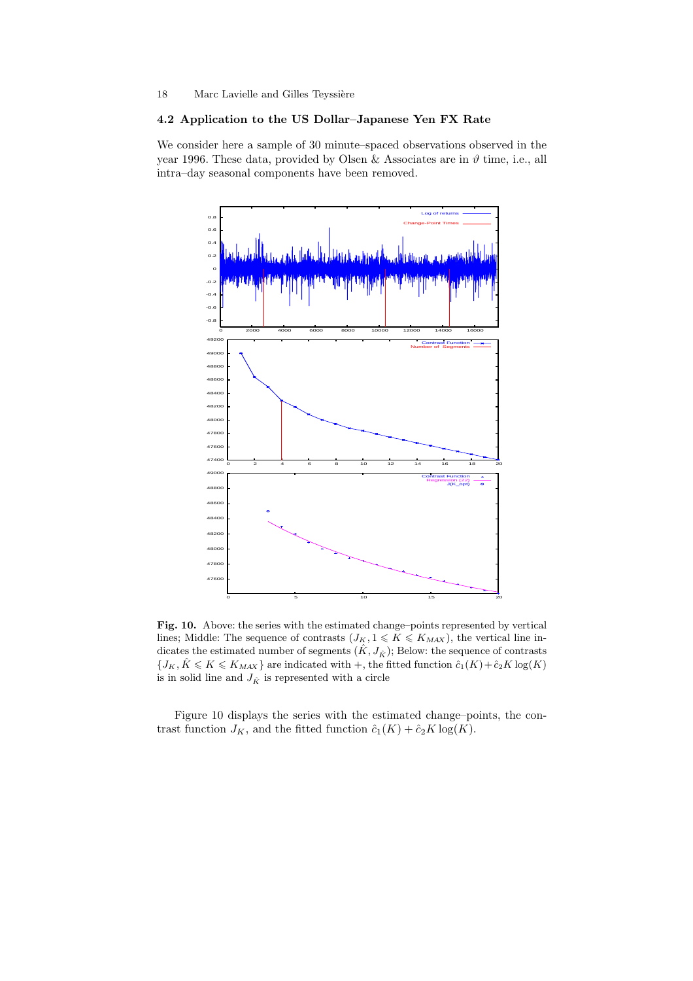### 4.2 Application to the US Dollar–Japanese Yen FX Rate

We consider here a sample of 30 minute–spaced observations observed in the year 1996. These data, provided by Olsen & Associates are in  $\vartheta$  time, i.e., all intra–day seasonal components have been removed.



Fig. 10. Above: the series with the estimated change–points represented by vertical lines; Middle: The sequence of contrasts  $(J_K, 1 \leqslant K \leqslant K_{MAX})$ , the vertical line indicates the estimated number of segments  $(\hat{K}, J_{\hat{K}})$ ; Below: the sequence of contrasts  ${J_K, \hat{K} \leqslant K \leqslant K_{\text{MAX}}}$  are indicated with  $+$ , the fitted function  $\hat{c}_1(K) + \hat{c}_2(K)$  log(K) is in solid line and  $J_{\hat{K}}$  is represented with a circle

Figure 10 displays the series with the estimated change–points, the contrast function  $J_K$ , and the fitted function  $\hat{c}_1(K) + \hat{c}_2 K \log(K)$ .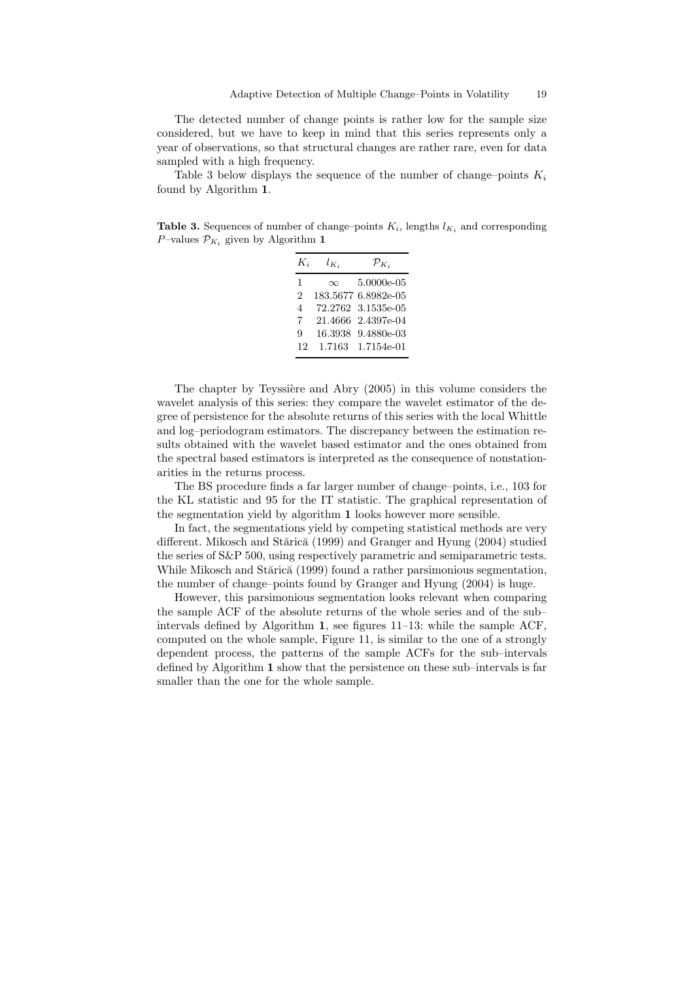The detected number of change points is rather low for the sample size considered, but we have to keep in mind that this series represents only a year of observations, so that structural changes are rather rare, even for data sampled with a high frequency.

Table 3 below displays the sequence of the number of change–points  $K_i$ found by Algorithm 1.

Table 3. Sequences of number of change–points  $K_i$ , lengths  $l_{K_i}$  and corresponding P–values  $\mathcal{P}_{K_i}$  given by Algorithm 1

| $K_i$                    | $l_{K_i}$ | $\mathcal{P}_{K_i}$ |
|--------------------------|-----------|---------------------|
| 1                        | $\infty$  | 5.0000e-05          |
| 2                        |           | 183.5677 6.8982e-05 |
| $\overline{\mathcal{A}}$ |           | 72.2762 3.1535e-05  |
| 7                        |           | 21.4666 2.4397e-04  |
| g                        | 16.3938   | 9.4880e-03          |
| 12                       | 1.7163    | 1.7154e-01          |

The chapter by Teyssière and Abry (2005) in this volume considers the wavelet analysis of this series: they compare the wavelet estimator of the degree of persistence for the absolute returns of this series with the local Whittle and log–periodogram estimators. The discrepancy between the estimation results obtained with the wavelet based estimator and the ones obtained from the spectral based estimators is interpreted as the consequence of nonstationarities in the returns process.

The BS procedure finds a far larger number of change–points, i.e., 103 for the KL statistic and 95 for the IT statistic. The graphical representation of the segmentation yield by algorithm 1 looks however more sensible.

In fact, the segmentations yield by competing statistical methods are very different. Mikosch and Stărică (1999) and Granger and Hyung (2004) studied the series of S&P 500, using respectively parametric and semiparametric tests. While Mikosch and Stărică (1999) found a rather parsimonious segmentation, the number of change–points found by Granger and Hyung (2004) is huge.

However, this parsimonious segmentation looks relevant when comparing the sample ACF of the absolute returns of the whole series and of the sub– intervals defined by Algorithm 1, see figures 11–13: while the sample ACF, computed on the whole sample, Figure 11, is similar to the one of a strongly dependent process, the patterns of the sample ACFs for the sub–intervals defined by Algorithm 1 show that the persistence on these sub–intervals is far smaller than the one for the whole sample.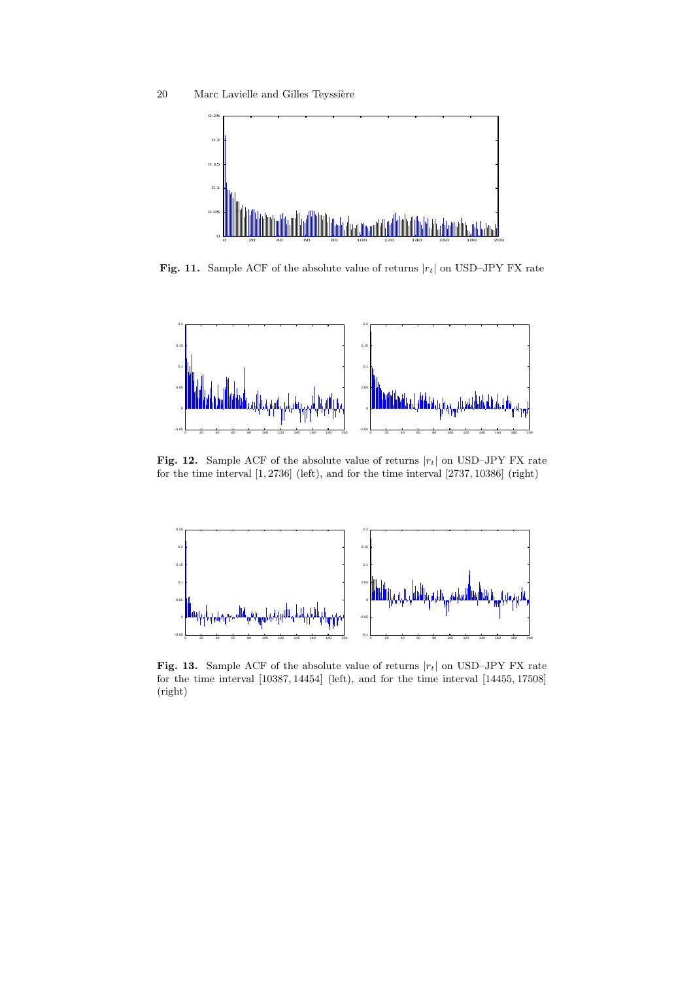

Fig. 11. Sample ACF of the absolute value of returns  $|r_t|$  on USD–JPY FX rate



Fig. 12. Sample ACF of the absolute value of returns  $|r_t|$  on USD–JPY FX rate for the time interval [1, 2736] (left), and for the time interval [2737, 10386] (right)



Fig. 13. Sample ACF of the absolute value of returns  $|r_t|$  on USD–JPY FX rate for the time interval [10387, 14454] (left), and for the time interval [14455, 17508] (right)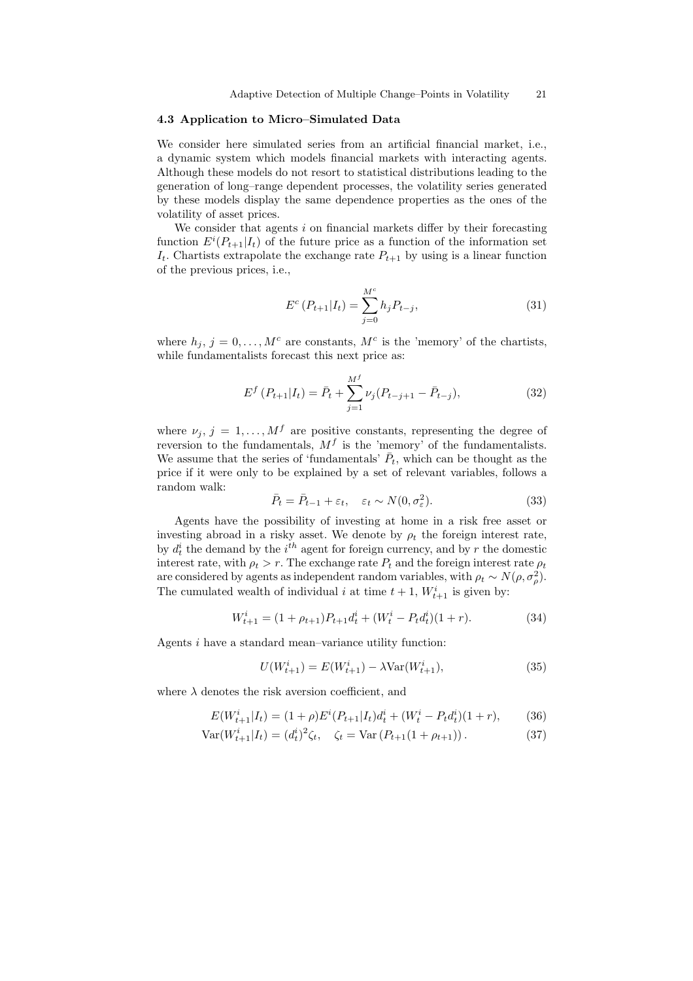# 4.3 Application to Micro–Simulated Data

We consider here simulated series from an artificial financial market, i.e., a dynamic system which models financial markets with interacting agents. Although these models do not resort to statistical distributions leading to the generation of long–range dependent processes, the volatility series generated by these models display the same dependence properties as the ones of the volatility of asset prices.

We consider that agents  $i$  on financial markets differ by their forecasting function  $E^{i}(P_{t+1}|I_t)$  of the future price as a function of the information set  $I_t$ . Chartists extrapolate the exchange rate  $P_{t+1}$  by using is a linear function of the previous prices, i.e.,

$$
E^{c}(P_{t+1}|I_{t}) = \sum_{j=0}^{M^{c}} h_{j}P_{t-j},
$$
\n(31)

where  $h_j$ ,  $j = 0, ..., M^c$  are constants,  $M^c$  is the 'memory' of the chartists, while fundamentalists forecast this next price as:

$$
E^{f}(P_{t+1}|I_{t}) = \bar{P}_{t} + \sum_{j=1}^{M^{f}} \nu_{j}(P_{t-j+1} - \bar{P}_{t-j}),
$$
\n(32)

where  $\nu_j, j = 1, ..., M^f$  are positive constants, representing the degree of reversion to the fundamentals,  $M<sup>f</sup>$  is the 'memory' of the fundamentalists. We assume that the series of 'fundamentals'  $\bar{P}_t$ , which can be thought as the price if it were only to be explained by a set of relevant variables, follows a random walk:

$$
\bar{P}_t = \bar{P}_{t-1} + \varepsilon_t, \quad \varepsilon_t \sim N(0, \sigma_\varepsilon^2). \tag{33}
$$

Agents have the possibility of investing at home in a risk free asset or investing abroad in a risky asset. We denote by  $\rho_t$  the foreign interest rate, by  $d_t^i$  the demand by the  $i^{th}$  agent for foreign currency, and by r the domestic interest rate, with  $\rho_t > r$ . The exchange rate  $P_t$  and the foreign interest rate  $\rho_t$ are considered by agents as independent random variables, with  $\rho_t \sim N(\rho, \sigma_\rho^2)$ . The cumulated wealth of individual i at time  $t + 1$ ,  $W_{t+1}^i$  is given by:

$$
W_{t+1}^i = (1 + \rho_{t+1})P_{t+1}d_t^i + (W_t^i - P_t d_t^i)(1+r). \tag{34}
$$

Agents i have a standard mean–variance utility function:

$$
U(W_{t+1}^i) = E(W_{t+1}^i) - \lambda \text{Var}(W_{t+1}^i),\tag{35}
$$

where  $\lambda$  denotes the risk aversion coefficient, and

$$
E(W_{t+1}^i | I_t) = (1+\rho)E^i(P_{t+1} | I_t)d_t^i + (W_t^i - P_t d_t^i)(1+r), \qquad (36)
$$

$$
Var(W_{t+1}^i | I_t) = (d_t^i)^2 \zeta_t, \quad \zeta_t = Var(P_{t+1}(1 + \rho_{t+1})).
$$
\n(37)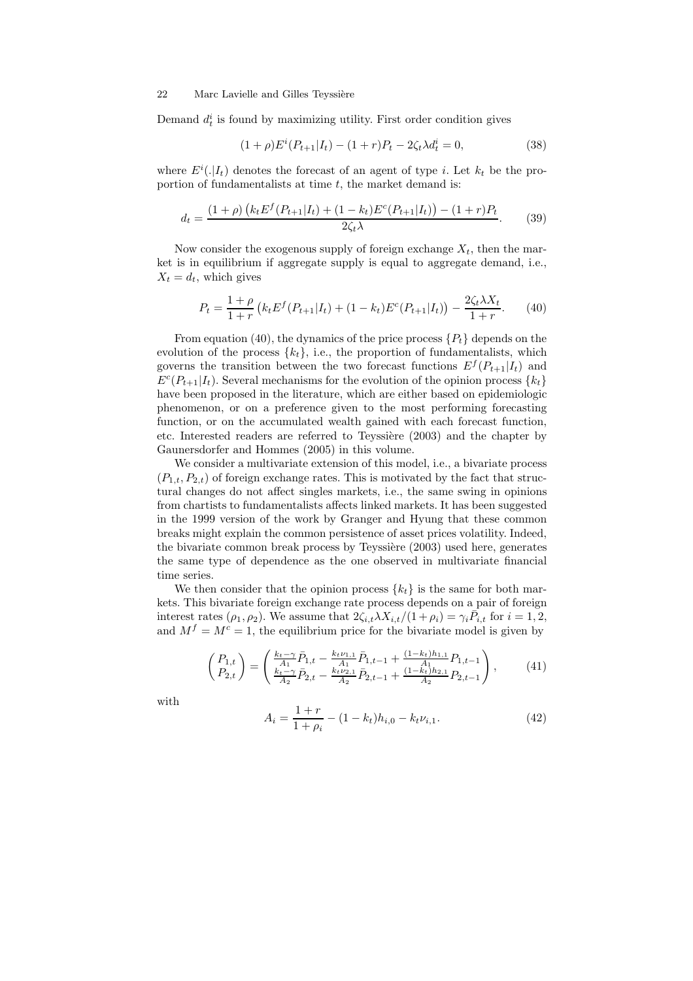Demand  $d_t^i$  is found by maximizing utility. First order condition gives

$$
(1+\rho)E^{i}(P_{t+1}|I_t) - (1+r)P_t - 2\zeta_t\lambda d_t^{i} = 0,
$$
\n(38)

where  $E^i(.|I_t)$  denotes the forecast of an agent of type *i*. Let  $k_t$  be the proportion of fundamentalists at time  $t$ , the market demand is:

$$
d_t = \frac{(1+\rho)\left(k_t E^f(P_{t+1}|I_t) + (1-k_t)E^c(P_{t+1}|I_t)\right) - (1+r)P_t}{2\zeta_t \lambda}.
$$
 (39)

Now consider the exogenous supply of foreign exchange  $X_t$ , then the market is in equilibrium if aggregate supply is equal to aggregate demand, i.e.,  $X_t = d_t$ , which gives

$$
P_t = \frac{1+\rho}{1+r} \left( k_t E^f(P_{t+1}|I_t) + (1-k_t) E^c(P_{t+1}|I_t) \right) - \frac{2\zeta_t \lambda X_t}{1+r}.
$$
 (40)

From equation (40), the dynamics of the price process  $\{P_t\}$  depends on the evolution of the process  $\{k_t\}$ , i.e., the proportion of fundamentalists, which governs the transition between the two forecast functions  $E^f(P_{t+1}|I_t)$  and  $E^{c}(P_{t+1}|I_t)$ . Several mechanisms for the evolution of the opinion process  $\{k_t\}$ have been proposed in the literature, which are either based on epidemiologic phenomenon, or on a preference given to the most performing forecasting function, or on the accumulated wealth gained with each forecast function, etc. Interested readers are referred to Teyssière (2003) and the chapter by Gaunersdorfer and Hommes (2005) in this volume.

We consider a multivariate extension of this model, i.e., a bivariate process  $(P_{1,t}, P_{2,t})$  of foreign exchange rates. This is motivated by the fact that structural changes do not affect singles markets, i.e., the same swing in opinions from chartists to fundamentalists affects linked markets. It has been suggested in the 1999 version of the work by Granger and Hyung that these common breaks might explain the common persistence of asset prices volatility. Indeed, the bivariate common break process by Teyssière (2003) used here, generates the same type of dependence as the one observed in multivariate financial time series.

We then consider that the opinion process  $\{k_t\}$  is the same for both markets. This bivariate foreign exchange rate process depends on a pair of foreign interest rates  $(\rho_1, \rho_2)$ . We assume that  $2\zeta_{i,t}\lambda X_{i,t}/(1+\rho_i) = \gamma_i \overline{P}_{i,t}$  for  $i = 1, 2,$ and  $M<sup>f</sup> = M<sup>c</sup> = 1$ , the equilibrium price for the bivariate model is given by

$$
\begin{pmatrix} P_{1,t} \\ P_{2,t} \end{pmatrix} = \begin{pmatrix} \frac{k_t - \gamma}{A_1} \bar{P}_{1,t} - \frac{k_t \nu_{1,1}}{A_1} \bar{P}_{1,t-1} + \frac{(1-k_t)h_{1,1}}{A_1} P_{1,t-1} \\ \frac{k_t - \gamma}{A_2} \bar{P}_{2,t} - \frac{k_t \nu_{2,1}}{A_2} \bar{P}_{2,t-1} + \frac{(1-k_t)h_{2,1}}{A_2} P_{2,t-1} \end{pmatrix},
$$
(41)

with

$$
A_i = \frac{1+r}{1+\rho_i} - (1-k_t)h_{i,0} - k_t \nu_{i,1}.
$$
\n(42)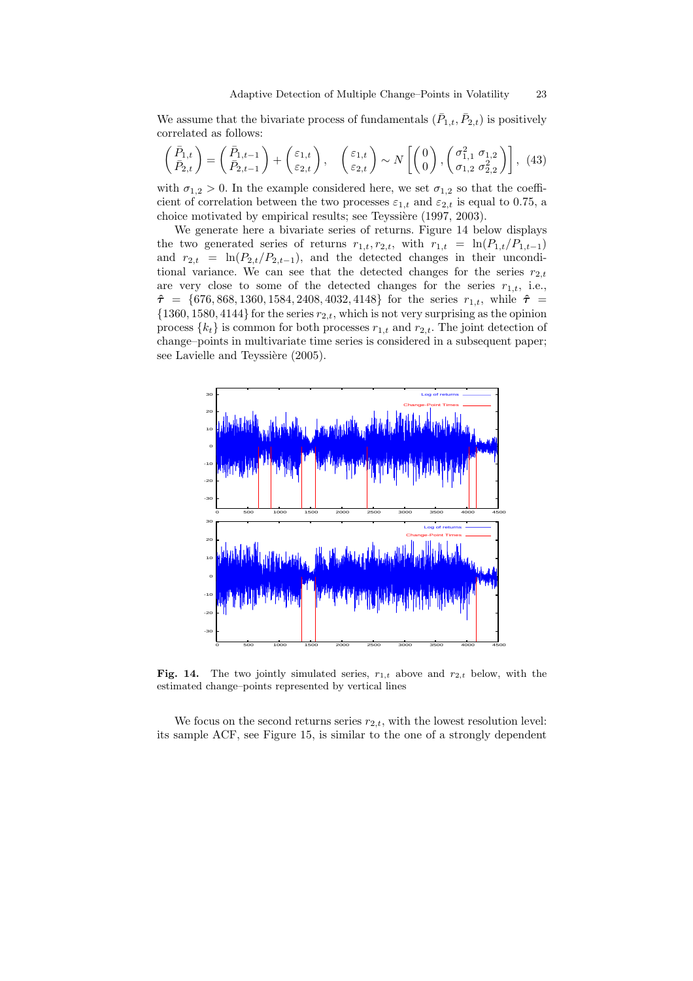We assume that the bivariate process of fundamentals  $(\bar{P}_{1,t}, \bar{P}_{2,t})$  is positively correlated as follows:

$$
\begin{pmatrix} \bar{P}_{1,t} \\ \bar{P}_{2,t} \end{pmatrix} = \begin{pmatrix} \bar{P}_{1,t-1} \\ \bar{P}_{2,t-1} \end{pmatrix} + \begin{pmatrix} \varepsilon_{1,t} \\ \varepsilon_{2,t} \end{pmatrix}, \quad \begin{pmatrix} \varepsilon_{1,t} \\ \varepsilon_{2,t} \end{pmatrix} \sim N \begin{bmatrix} \begin{pmatrix} 0 \\ 0 \end{pmatrix}, \begin{pmatrix} \sigma_{1,1}^2 & \sigma_{1,2} \\ \sigma_{1,2} & \sigma_{2,2}^2 \end{pmatrix} \end{pmatrix}, (43)
$$

with  $\sigma_{1,2} > 0$ . In the example considered here, we set  $\sigma_{1,2}$  so that the coefficient of correlation between the two processes  $\varepsilon_{1,t}$  and  $\varepsilon_{2,t}$  is equal to 0.75, a choice motivated by empirical results; see Teyssière (1997, 2003).

We generate here a bivariate series of returns. Figure 14 below displays the two generated series of returns  $r_{1,t}$ ,  $r_{2,t}$ , with  $r_{1,t} = \ln(P_{1,t}/P_{1,t-1})$ and  $r_{2,t} = \ln(P_{2,t}/P_{2,t-1})$ , and the detected changes in their unconditional variance. We can see that the detected changes for the series  $r_{2,t}$ are very close to some of the detected changes for the series  $r_{1,t}$ , i.e.,  $\hat{\tau} = \{676, 868, 1360, 1584, 2408, 4032, 4148\}$  for the series  $r_{1,t}$ , while  $\hat{\tau} =$  $\{1360, 1580, 4144\}$  for the series  $r_{2,t}$ , which is not very surprising as the opinion process  $\{k_t\}$  is common for both processes  $r_{1,t}$  and  $r_{2,t}$ . The joint detection of change–points in multivariate time series is considered in a subsequent paper; see Lavielle and Teyssière (2005).



Fig. 14. The two jointly simulated series,  $r_{1,t}$  above and  $r_{2,t}$  below, with the estimated change–points represented by vertical lines

We focus on the second returns series  $r_{2,t}$ , with the lowest resolution level: its sample ACF, see Figure 15, is similar to the one of a strongly dependent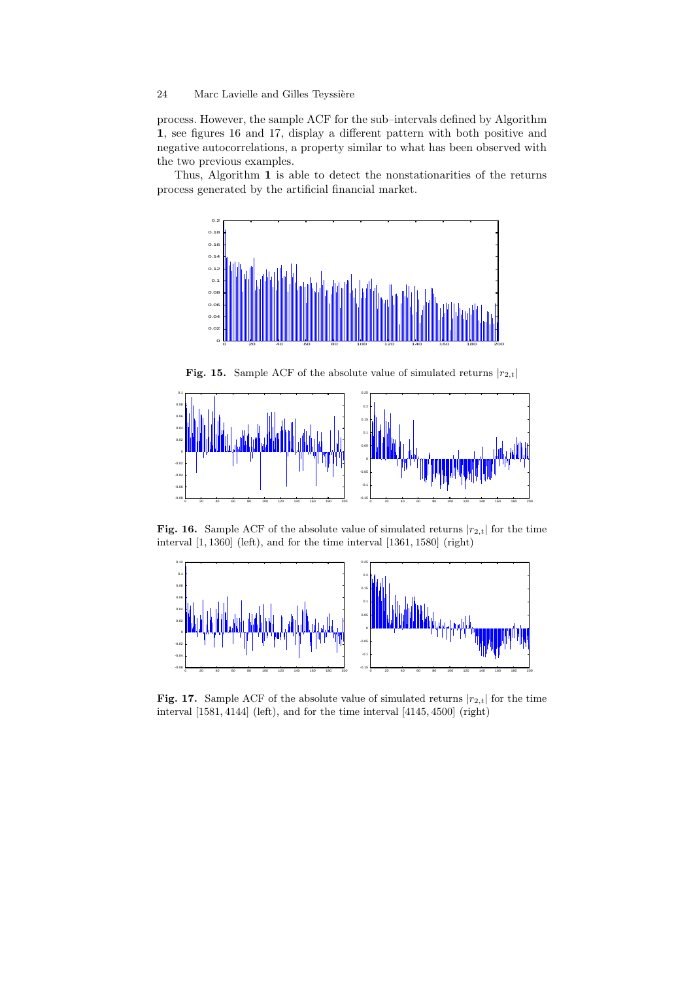process. However, the sample ACF for the sub–intervals defined by Algorithm 1, see figures 16 and 17, display a different pattern with both positive and negative autocorrelations, a property similar to what has been observed with the two previous examples.

Thus, Algorithm 1 is able to detect the nonstationarities of the returns process generated by the artificial financial market.



**Fig. 15.** Sample ACF of the absolute value of simulated returns  $|r_{2,t}|$ 



Fig. 16. Sample ACF of the absolute value of simulated returns  $|r_{2,t}|$  for the time interval [1, 1360] (left), and for the time interval [1361, 1580] (right)



Fig. 17. Sample ACF of the absolute value of simulated returns  $|r_{2,t}|$  for the time interval [1581, 4144] (left), and for the time interval [4145, 4500] (right)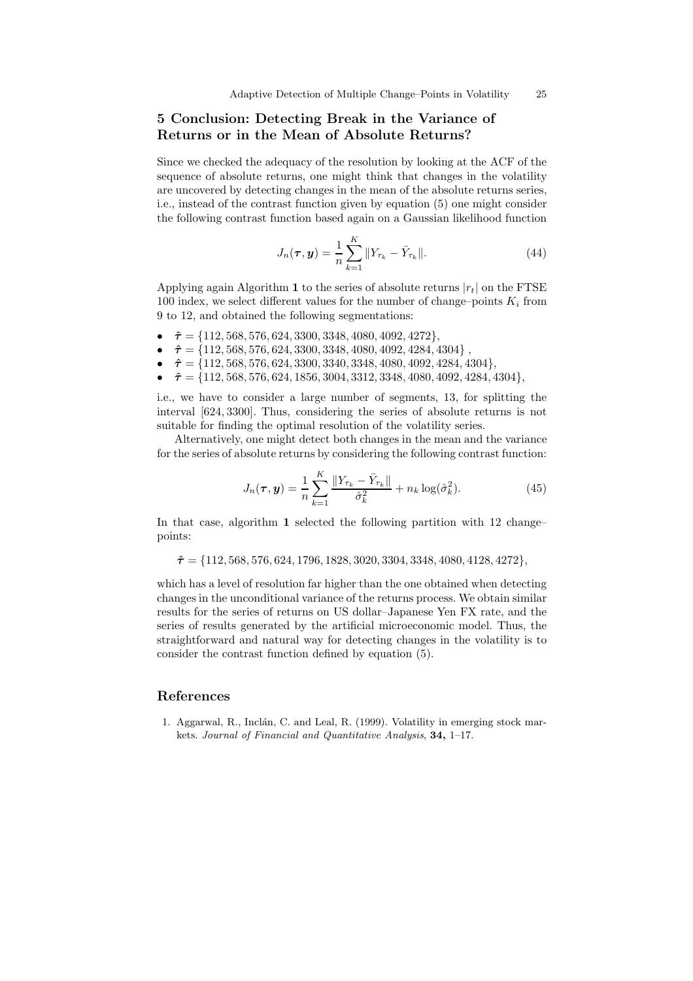# 5 Conclusion: Detecting Break in the Variance of Returns or in the Mean of Absolute Returns?

Since we checked the adequacy of the resolution by looking at the ACF of the sequence of absolute returns, one might think that changes in the volatility are uncovered by detecting changes in the mean of the absolute returns series, i.e., instead of the contrast function given by equation (5) one might consider the following contrast function based again on a Gaussian likelihood function

$$
J_n(\tau, y) = \frac{1}{n} \sum_{k=1}^{K} ||Y_{\tau_k} - \bar{Y}_{\tau_k}||.
$$
 (44)

Applying again Algorithm 1 to the series of absolute returns  $|r_t|$  on the FTSE 100 index, we select different values for the number of change–points  $K_i$  from 9 to 12, and obtained the following segmentations:

- $\hat{\tau} = \{112, 568, 576, 624, 3300, 3348, 4080, 4092, 4272\},\$
- $\hat{\tau} = \{112, 568, 576, 624, 3300, 3348, 4080, 4092, 4284, 4304\},\$
- $\hat{\tau} = \{112, 568, 576, 624, 3300, 3340, 3348, 4080, 4092, 4284, 4304\},\$
- $\hat{\tau} = \{112, 568, 576, 624, 1856, 3004, 3312, 3348, 4080, 4092, 4284, 4304\},\$

i.e., we have to consider a large number of segments, 13, for splitting the interval [624, 3300]. Thus, considering the series of absolute returns is not suitable for finding the optimal resolution of the volatility series.

Alternatively, one might detect both changes in the mean and the variance for the series of absolute returns by considering the following contrast function:

$$
J_n(\tau, \mathbf{y}) = \frac{1}{n} \sum_{k=1}^{K} \frac{\|Y_{\tau_k} - \bar{Y}_{\tau_k}\|}{\hat{\sigma}_k^2} + n_k \log(\hat{\sigma}_k^2).
$$
 (45)

In that case, algorithm 1 selected the following partition with 12 change– points:

 $\hat{\tau} = \{112, 568, 576, 624, 1796, 1828, 3020, 3304, 3348, 4080, 4128, 4272\},\$ 

which has a level of resolution far higher than the one obtained when detecting changes in the unconditional variance of the returns process. We obtain similar results for the series of returns on US dollar–Japanese Yen FX rate, and the series of results generated by the artificial microeconomic model. Thus, the straightforward and natural way for detecting changes in the volatility is to consider the contrast function defined by equation (5).

# References

1. Aggarwal, R., Inclán, C. and Leal, R. (1999). Volatility in emerging stock markets. Journal of Financial and Quantitative Analysis, 34, 1–17.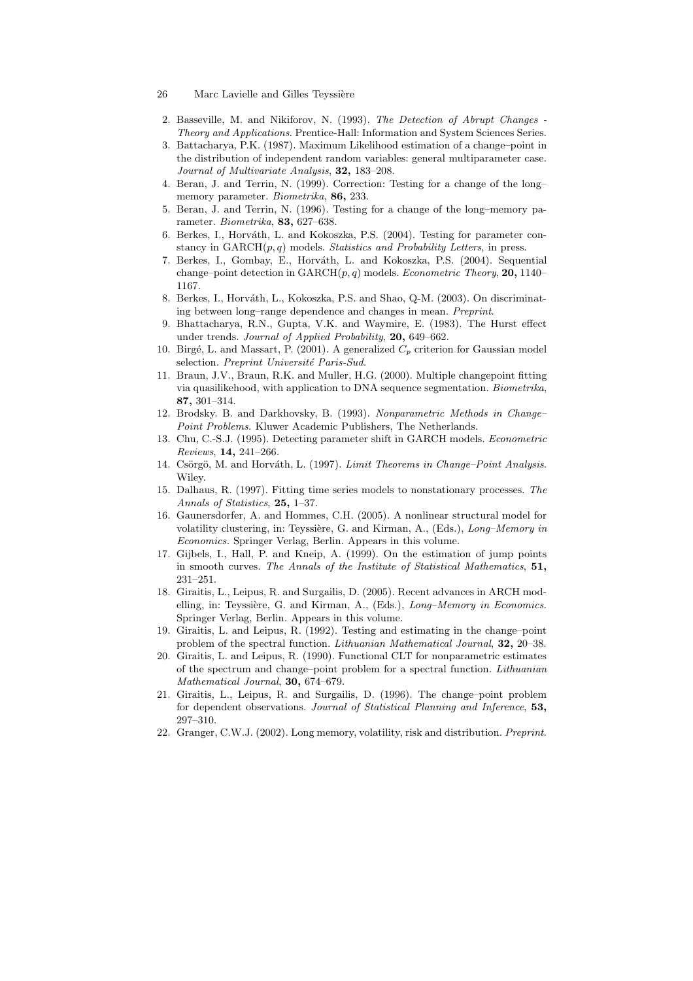- 26 Marc Lavielle and Gilles Teyssière
- 2. Basseville, M. and Nikiforov, N. (1993). The Detection of Abrupt Changes Theory and Applications. Prentice-Hall: Information and System Sciences Series.
- 3. Battacharya, P.K. (1987). Maximum Likelihood estimation of a change–point in the distribution of independent random variables: general multiparameter case. Journal of Multivariate Analysis, 32, 183–208.
- 4. Beran, J. and Terrin, N. (1999). Correction: Testing for a change of the long– memory parameter. Biometrika, 86, 233.
- 5. Beran, J. and Terrin, N. (1996). Testing for a change of the long–memory parameter. Biometrika, 83, 627–638.
- 6. Berkes, I., Horváth, L. and Kokoszka, P.S. (2004). Testing for parameter constancy in  $GARCH(p, q)$  models. Statistics and Probability Letters, in press.
- 7. Berkes, I., Gombay, E., Horváth, L. and Kokoszka, P.S. (2004). Sequential change–point detection in  $GARCH(p, q)$  models. Econometric Theory, 20, 1140– 1167.
- 8. Berkes, I., Horváth, L., Kokoszka, P.S. and Shao, Q-M. (2003). On discriminating between long–range dependence and changes in mean. Preprint.
- 9. Bhattacharya, R.N., Gupta, V.K. and Waymire, E. (1983). The Hurst effect under trends. Journal of Applied Probability, 20, 649–662.
- 10. Birgé, L. and Massart, P. (2001). A generalized  $C_p$  criterion for Gaussian model selection. Preprint Université Paris-Sud.
- 11. Braun, J.V., Braun, R.K. and Muller, H.G. (2000). Multiple changepoint fitting via quasilikehood, with application to DNA sequence segmentation. Biometrika, 87, 301–314.
- 12. Brodsky. B. and Darkhovsky, B. (1993). Nonparametric Methods in Change– Point Problems. Kluwer Academic Publishers, The Netherlands.
- 13. Chu, C.-S.J. (1995). Detecting parameter shift in GARCH models. Econometric Reviews, 14, 241–266.
- 14. Csörgö, M. and Horváth, L. (1997). Limit Theorems in Change–Point Analysis. Wiley.
- 15. Dalhaus, R. (1997). Fitting time series models to nonstationary processes. The Annals of Statistics, 25, 1-37.
- 16. Gaunersdorfer, A. and Hommes, C.H. (2005). A nonlinear structural model for volatility clustering, in: Teyssière, G. and Kirman, A., (Eds.),  $Long-Memory$  in Economics. Springer Verlag, Berlin. Appears in this volume.
- 17. Gijbels, I., Hall, P. and Kneip, A. (1999). On the estimation of jump points in smooth curves. The Annals of the Institute of Statistical Mathematics, 51, 231–251.
- 18. Giraitis, L., Leipus, R. and Surgailis, D. (2005). Recent advances in ARCH modelling, in: Teyssière, G. and Kirman, A., (Eds.), Long-Memory in Economics. Springer Verlag, Berlin. Appears in this volume.
- 19. Giraitis, L. and Leipus, R. (1992). Testing and estimating in the change–point problem of the spectral function. Lithuanian Mathematical Journal, 32, 20–38.
- 20. Giraitis, L. and Leipus, R. (1990). Functional CLT for nonparametric estimates of the spectrum and change–point problem for a spectral function. Lithuanian Mathematical Journal, 30, 674–679.
- 21. Giraitis, L., Leipus, R. and Surgailis, D. (1996). The change–point problem for dependent observations. Journal of Statistical Planning and Inference, 53, 297–310.
- 22. Granger, C.W.J. (2002). Long memory, volatility, risk and distribution. Preprint.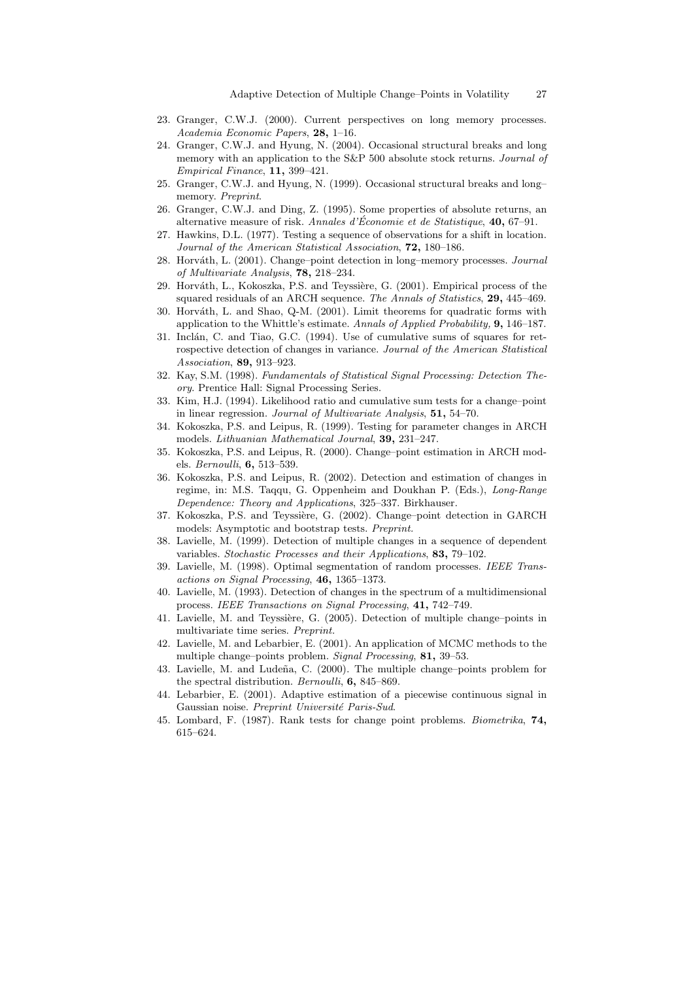- 23. Granger, C.W.J. (2000). Current perspectives on long memory processes. Academia Economic Papers, 28, 1–16.
- 24. Granger, C.W.J. and Hyung, N. (2004). Occasional structural breaks and long memory with an application to the S&P 500 absolute stock returns. Journal of Empirical Finance, 11, 399–421.
- 25. Granger, C.W.J. and Hyung, N. (1999). Occasional structural breaks and long– memory. Preprint.
- 26. Granger, C.W.J. and Ding, Z. (1995). Some properties of absolute returns, an alternative measure of risk. Annales d'Économie et de Statistique,  $40, 67-91$ .
- 27. Hawkins, D.L. (1977). Testing a sequence of observations for a shift in location. Journal of the American Statistical Association, 72, 180-186.
- 28. Horváth, L. (2001). Change–point detection in long–memory processes. Journal of Multivariate Analysis, 78, 218–234.
- 29. Horváth, L., Kokoszka, P.S. and Teyssière, G. (2001). Empirical process of the squared residuals of an ARCH sequence. The Annals of Statistics, 29, 445–469.
- 30. Horváth, L. and Shao, Q-M. (2001). Limit theorems for quadratic forms with application to the Whittle's estimate. Annals of Applied Probability, 9, 146–187.
- 31. Inclán, C. and Tiao, G.C. (1994). Use of cumulative sums of squares for retrospective detection of changes in variance. Journal of the American Statistical Association, 89, 913–923.
- 32. Kay, S.M. (1998). Fundamentals of Statistical Signal Processing: Detection Theory. Prentice Hall: Signal Processing Series.
- 33. Kim, H.J. (1994). Likelihood ratio and cumulative sum tests for a change–point in linear regression. Journal of Multivariate Analysis, 51, 54–70.
- 34. Kokoszka, P.S. and Leipus, R. (1999). Testing for parameter changes in ARCH models. Lithuanian Mathematical Journal, 39, 231–247.
- 35. Kokoszka, P.S. and Leipus, R. (2000). Change–point estimation in ARCH models. Bernoulli, 6, 513–539.
- 36. Kokoszka, P.S. and Leipus, R. (2002). Detection and estimation of changes in regime, in: M.S. Taqqu, G. Oppenheim and Doukhan P. (Eds.), Long-Range Dependence: Theory and Applications, 325–337. Birkhauser.
- 37. Kokoszka, P.S. and Teyssière, G. (2002). Change-point detection in GARCH models: Asymptotic and bootstrap tests. Preprint.
- 38. Lavielle, M. (1999). Detection of multiple changes in a sequence of dependent variables. Stochastic Processes and their Applications, 83, 79–102.
- 39. Lavielle, M. (1998). Optimal segmentation of random processes. IEEE Transactions on Signal Processing, 46, 1365–1373.
- 40. Lavielle, M. (1993). Detection of changes in the spectrum of a multidimensional process. IEEE Transactions on Signal Processing, 41, 742–749.
- 41. Lavielle, M. and Teyssière, G. (2005). Detection of multiple change–points in multivariate time series. Preprint.
- 42. Lavielle, M. and Lebarbier, E. (2001). An application of MCMC methods to the multiple change–points problem. Signal Processing, 81, 39–53.
- 43. Lavielle, M. and Ludeña, C. (2000). The multiple change–points problem for the spectral distribution. Bernoulli, 6, 845-869.
- 44. Lebarbier, E. (2001). Adaptive estimation of a piecewise continuous signal in Gaussian noise. Preprint Université Paris-Sud.
- 45. Lombard, F. (1987). Rank tests for change point problems. Biometrika, 74, 615–624.